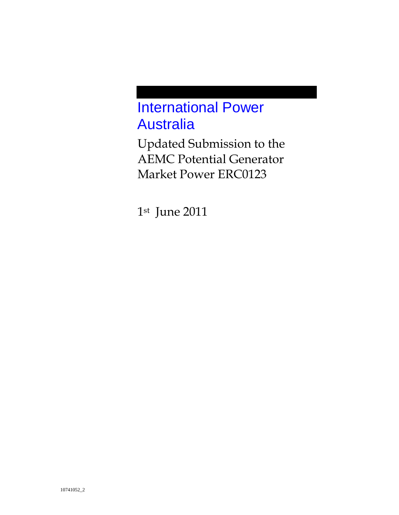# International Power Australia

Updated Submission to the AEMC Potential Generator Market Power ERC0123

1st June 2011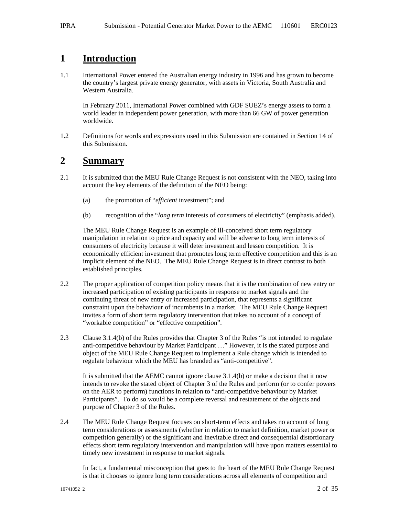# **1 Introduction**

1.1 International Power entered the Australian energy industry in 1996 and has grown to become the country's largest private energy generator, with assets in Victoria, South Australia and Western Australia.

In February 2011, International Power combined with GDF SUEZ's energy assets to form a world leader in independent power generation, with more than 66 GW of power generation worldwide.

1.2 Definitions for words and expressions used in this Submission are contained in Section 14 of this Submission.

### **2 Summary**

- 2.1 It is submitted that the MEU Rule Change Request is not consistent with the NEO, taking into account the key elements of the definition of the NEO being:
	- (a) the promotion of "*efficient* investment"; and
	- (b) recognition of the "*long term* interests of consumers of electricity" (emphasis added).

The MEU Rule Change Request is an example of ill-conceived short term regulatory manipulation in relation to price and capacity and will be adverse to long term interests of consumers of electricity because it will deter investment and lessen competition. It is economically efficient investment that promotes long term effective competition and this is an implicit element of the NEO. The MEU Rule Change Request is in direct contrast to both established principles.

- 2.2 The proper application of competition policy means that it is the combination of new entry or increased participation of existing participants in response to market signals and the continuing threat of new entry or increased participation, that represents a significant constraint upon the behaviour of incumbents in a market. The MEU Rule Change Request invites a form of short term regulatory intervention that takes no account of a concept of "workable competition" or "effective competition".
- 2.3 Clause 3.1.4(b) of the Rules provides that Chapter 3 of the Rules "is not intended to regulate anti-competitive behaviour by Market Participant …" However, it is the stated purpose and object of the MEU Rule Change Request to implement a Rule change which is intended to regulate behaviour which the MEU has branded as "anti-competitive".

It is submitted that the AEMC cannot ignore clause 3.1.4(b) or make a decision that it now intends to revoke the stated object of Chapter 3 of the Rules and perform (or to confer powers on the AER to perform) functions in relation to "anti-competitive behaviour by Market Participants". To do so would be a complete reversal and restatement of the objects and purpose of Chapter 3 of the Rules.

2.4 The MEU Rule Change Request focuses on short-term effects and takes no account of long term considerations or assessments (whether in relation to market definition, market power or competition generally) or the significant and inevitable direct and consequential distortionary effects short term regulatory intervention and manipulation will have upon matters essential to timely new investment in response to market signals.

In fact, a fundamental misconception that goes to the heart of the MEU Rule Change Request is that it chooses to ignore long term considerations across all elements of competition and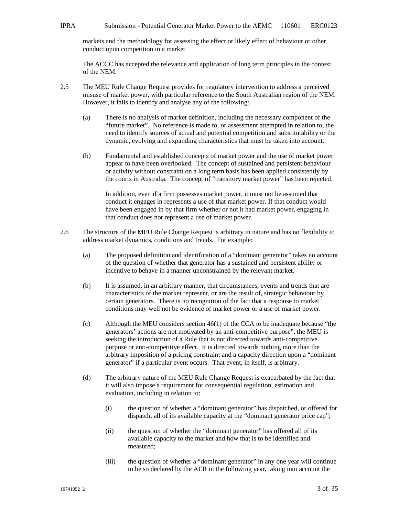markets and the methodology for assessing the effect or likely effect of behaviour or other conduct upon competition in a market.

The ACCC has accepted the relevance and application of long term principles in the context of the NEM.

- 2.5 The MEU Rule Change Request provides for regulatory intervention to address a perceived misuse of market power, with particular reference to the South Australian region of the NEM. However, it fails to identify and analyse any of the following:
	- (a) There is no analysis of market definition, including the necessary component of the "future market". No reference is made to, or assessment attempted in relation to, the need to identify sources of actual and potential competition and substitutability or the dynamic, evolving and expanding characteristics that must be taken into account.
	- (b) Fundamental and established concepts of market power and the use of market power appear to have been overlooked. The concept of sustained and persistent behaviour or activity without constraint on a long term basis has been applied consistently by the courts in Australia. The concept of "transitory market power" has been rejected.

In addition, even if a firm possesses market power, it must not be assumed that conduct it engages in represents a use of that market power. If that conduct would have been engaged in by that firm whether or not it had market power, engaging in that conduct does not represent a use of market power.

- 2.6 The structure of the MEU Rule Change Request is arbitrary in nature and has no flexibility to address market dynamics, conditions and trends. For example:
	- (a) The proposed definition and identification of a "dominant generator" takes no account of the question of whether that generator has a sustained and persistent ability or incentive to behave in a manner unconstrained by the relevant market.
	- (b) It is assumed, in an arbitrary manner, that circumstances, events and trends that are characteristics of the market represent, or are the result of, strategic behaviour by certain generators. There is no recognition of the fact that a response to market conditions may well not be evidence of market power or a use of market power.
	- (c) Although the MEU considers section 46(1) of the CCA to be inadequate because "the generators' actions are not motivated by an anti-competitive purpose", the MEU is seeking the introduction of a Rule that is not directed towards anti-competitive purpose or anti-competitive effect. It is directed towards nothing more than the arbitrary imposition of a pricing constraint and a capacity direction upon a "dominant generator" if a particular event occurs. That event, in itself, is arbitrary.
	- (d) The arbitrary nature of the MEU Rule Change Request is exacerbated by the fact that it will also impose a requirement for consequential regulation, estimation and evaluation, including in relation to:
		- (i) the question of whether a "dominant generator" has dispatched, or offered for dispatch, all of its available capacity at the "dominant generator price cap";
		- (ii) the question of whether the "dominant generator" has offered all of its available capacity to the market and how that is to be identified and measured;
		- (iii) the question of whether a "dominant generator" in any one year will continue to be so declared by the AER in the following year, taking into account the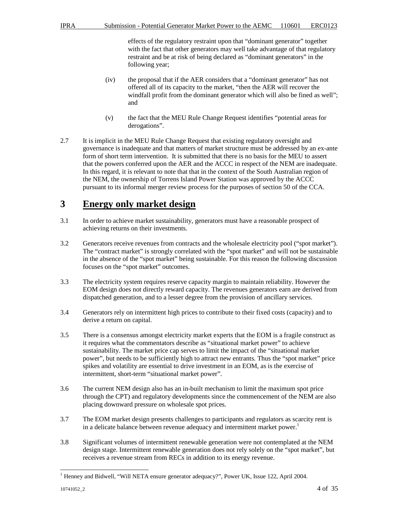effects of the regulatory restraint upon that "dominant generator" together with the fact that other generators may well take advantage of that regulatory restraint and be at risk of being declared as "dominant generators" in the following year;

- (iv) the proposal that if the AER considers that a "dominant generator" has not offered all of its capacity to the market, "then the AER will recover the windfall profit from the dominant generator which will also be fined as well"; and
- (v) the fact that the MEU Rule Change Request identifies "potential areas for derogations".
- 2.7 It is implicit in the MEU Rule Change Request that existing regulatory oversight and governance is inadequate and that matters of market structure must be addressed by an ex-ante form of short term intervention. It is submitted that there is no basis for the MEU to assert that the powers conferred upon the AER and the ACCC in respect of the NEM are inadequate. In this regard, it is relevant to note that that in the context of the South Australian region of the NEM, the ownership of Torrens Island Power Station was approved by the ACCC pursuant to its informal merger review process for the purposes of section 50 of the CCA.

### **3 Energy only market design**

- 3.1 In order to achieve market sustainability, generators must have a reasonable prospect of achieving returns on their investments.
- 3.2 Generators receive revenues from contracts and the wholesale electricity pool ("spot market"). The "contract market" is strongly correlated with the "spot market" and will not be sustainable in the absence of the "spot market" being sustainable. For this reason the following discussion focuses on the "spot market" outcomes.
- 3.3 The electricity system requires reserve capacity margin to maintain reliability. However the EOM design does not directly reward capacity. The revenues generators earn are derived from dispatched generation, and to a lesser degree from the provision of ancillary services.
- 3.4 Generators rely on intermittent high prices to contribute to their fixed costs (capacity) and to derive a return on capital.
- 3.5 There is a consensus amongst electricity market experts that the EOM is a fragile construct as it requires what the commentators describe as "situational market power" to achieve sustainability. The market price cap serves to limit the impact of the "situational market power", but needs to be sufficiently high to attract new entrants. Thus the "spot market" price spikes and volatility are essential to drive investment in an EOM, as is the exercise of intermittent, short-term "situational market power".
- 3.6 The current NEM design also has an in-built mechanism to limit the maximum spot price through the CPT) and regulatory developments since the commencement of the NEM are also placing downward pressure on wholesale spot prices.
- 3.7 The EOM market design presents challenges to participants and regulators as scarcity rent is in a delicate balance between revenue adequacy and intermittent market power.<sup>1</sup>
- 3.8 Significant volumes of intermittent renewable generation were not contemplated at the NEM design stage. Intermittent renewable generation does not rely solely on the "spot market", but receives a revenue stream from RECs in addition to its energy revenue.

 1 Henney and Bidwell, "Will NETA ensure generator adequacy?", Power UK, Issue 122, April 2004.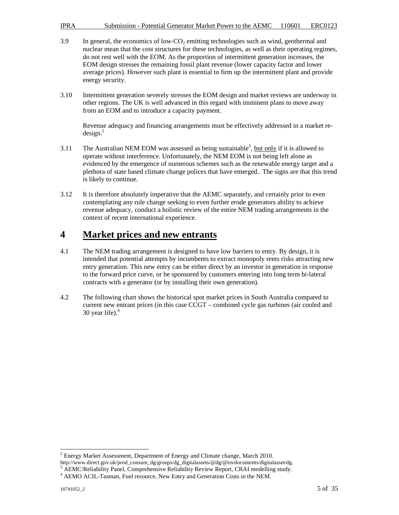- $3.9$  In general, the economics of low-CO<sub>2</sub> emitting technologies such as wind, geothermal and nuclear mean that the cost structures for these technologies, as well as their operating regimes, do not rest well with the EOM. As the proportion of intermittent generation increases, the EOM design stresses the remaining fossil plant revenue (lower capacity factor and lower average prices). However such plant is essential to firm up the intermittent plant and provide energy security.
- 3.10 Intermittent generation severely stresses the EOM design and market reviews are underway in other regions. The UK is well advanced in this regard with imminent plans to move away from an EOM and to introduce a capacity payment.

Revenue adequacy and financing arrangements must be effectively addressed in a market re $design.<sup>2</sup>$ 

- 3.11 The Australian NEM EOM was assessed as being sustainable<sup>3</sup>, but only if it is allowed to operate without interference. Unfortunately, the NEM EOM is not being left alone as evidenced by the emergence of numerous schemes such as the renewable energy target and a plethora of state based climate change polices that have emerged.. The signs are that this trend is likely to continue.
- 3.12 It is therefore absolutely imperative that the AEMC separately, and certainly prior to even contemplating any rule change seeking to even further erode generators ability to achieve revenue adequacy, conduct a holistic review of the entire NEM trading arrangements in the context of recent international experience.

### **4 Market prices and new entrants**

- 4.1 The NEM trading arrangement is designed to have low barriers to entry. By design, it is intended that potential attempts by incumbents to extract monopoly rents risks attracting new entry generation. This new entry can be either direct by an investor in generation in response to the forward price curve, or be sponsored by customers entering into long term bi-lateral contracts with a generator (or by installing their own generation).
- 4.2 The following chart shows the historical spot market prices in South Australia compared to current new entrant prices (in this case CCGT – combined cycle gas turbines (air cooled and 30 year life). $4$

<sup>&</sup>lt;sup>2</sup> Energy Market Assessment, Department of Energy and Climate change, March 2010.

http://www.direct.gov.uk/prod\_consum\_dg/groups/dg\_digitalassets/@dg/@en/documents/digitalasset/dg. <sup>3</sup> AEMC/Reliability Panel, Comprehensive Reliability Review Report, CRAI modelling study.

<sup>4</sup> AEMO ACIL-Tasman, Fuel resource, New Entry and Generation Costs in the NEM.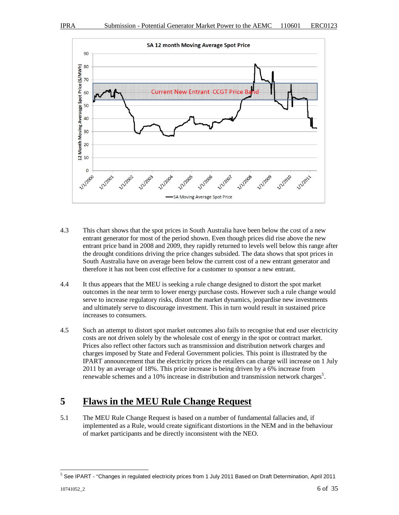

- 4.3 This chart shows that the spot prices in South Australia have been below the cost of a new entrant generator for most of the period shown. Even though prices did rise above the new entrant price band in 2008 and 2009, they rapidly returned to levels well below this range after the drought conditions driving the price changes subsided. The data shows that spot prices in South Australia have on average been below the current cost of a new entrant generator and therefore it has not been cost effective for a customer to sponsor a new entrant.
- 4.4 It thus appears that the MEU is seeking a rule change designed to distort the spot market outcomes in the near term to lower energy purchase costs. However such a rule change would serve to increase regulatory risks, distort the market dynamics, jeopardise new investments and ultimately serve to discourage investment. This in turn would result in sustained price increases to consumers.
- 4.5 Such an attempt to distort spot market outcomes also fails to recognise that end user electricity costs are not driven solely by the wholesale cost of energy in the spot or contract market. Prices also reflect other factors such as transmission and distribution network charges and charges imposed by State and Federal Government policies. This point is illustrated by the IPART announcement that the electricity prices the retailers can charge will increase on 1 July 2011 by an average of 18%. This price increase is being driven by a 6% increase from renewable schemes and a 10% increase in distribution and transmission network charges<sup>5</sup>.

# **5 Flaws in the MEU Rule Change Request**

5.1 The MEU Rule Change Request is based on a number of fundamental fallacies and, if implemented as a Rule, would create significant distortions in the NEM and in the behaviour of market participants and be directly inconsistent with the NEO.

 5 See IPART - "Changes in regulated electricity prices from 1 July 2011 Based on Draft Determination, April 2011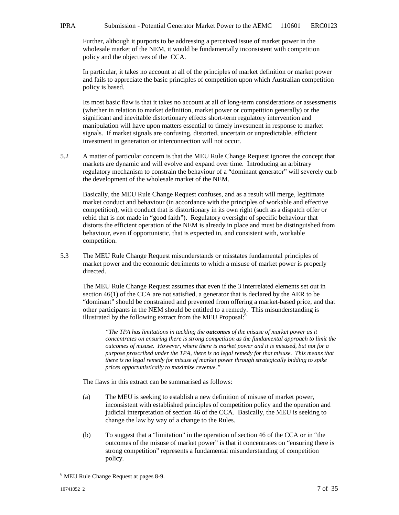Further, although it purports to be addressing a perceived issue of market power in the wholesale market of the NEM, it would be fundamentally inconsistent with competition policy and the objectives of the CCA.

In particular, it takes no account at all of the principles of market definition or market power and fails to appreciate the basic principles of competition upon which Australian competition policy is based.

Its most basic flaw is that it takes no account at all of long-term considerations or assessments (whether in relation to market definition, market power or competition generally) or the significant and inevitable distortionary effects short-term regulatory intervention and manipulation will have upon matters essential to timely investment in response to market signals. If market signals are confusing, distorted, uncertain or unpredictable, efficient investment in generation or interconnection will not occur.

5.2 A matter of particular concern is that the MEU Rule Change Request ignores the concept that markets are dynamic and will evolve and expand over time. Introducing an arbitrary regulatory mechanism to constrain the behaviour of a "dominant generator" will severely curb the development of the wholesale market of the NEM.

Basically, the MEU Rule Change Request confuses, and as a result will merge, legitimate market conduct and behaviour (in accordance with the principles of workable and effective competition), with conduct that is distortionary in its own right (such as a dispatch offer or rebid that is not made in "good faith"). Regulatory oversight of specific behaviour that distorts the efficient operation of the NEM is already in place and must be distinguished from behaviour, even if opportunistic, that is expected in, and consistent with, workable competition.

5.3 The MEU Rule Change Request misunderstands or misstates fundamental principles of market power and the economic detriments to which a misuse of market power is properly directed.

The MEU Rule Change Request assumes that even if the 3 interrelated elements set out in section 46(1) of the CCA are not satisfied, a generator that is declared by the AER to be "dominant" should be constrained and prevented from offering a market-based price, and that other participants in the NEM should be entitled to a remedy. This misunderstanding is illustrated by the following extract from the MEU Proposal: $6$ 

*"The TPA has limitations in tackling the outcomes of the misuse of market power as it concentrates on ensuring there is strong competition as the fundamental approach to limit the outcomes of misuse. However, where there is market power and it is misused, but not for a purpose proscribed under the TPA, there is no legal remedy for that misuse. This means that there is no legal remedy for misuse of market power through strategically bidding to spike prices opportunistically to maximise revenue."* 

The flaws in this extract can be summarised as follows:

- (a) The MEU is seeking to establish a new definition of misuse of market power, inconsistent with established principles of competition policy and the operation and judicial interpretation of section 46 of the CCA. Basically, the MEU is seeking to change the law by way of a change to the Rules.
- (b) To suggest that a "limitation" in the operation of section 46 of the CCA or in "the outcomes of the misuse of market power" is that it concentrates on "ensuring there is strong competition" represents a fundamental misunderstanding of competition policy.

 6 MEU Rule Change Request at pages 8-9.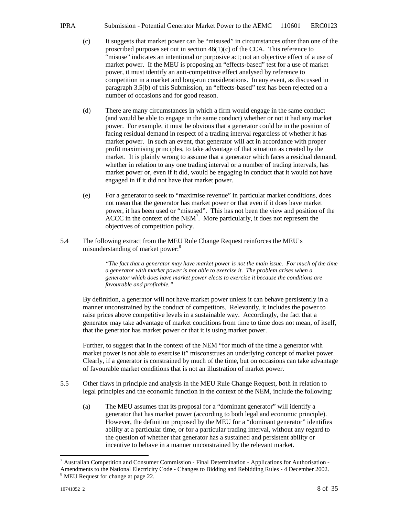- IPRA Submission Potential Generator Market Power to the AEMC 110601 ERC0123
	- (c) It suggests that market power can be "misused" in circumstances other than one of the proscribed purposes set out in section  $46(1)(c)$  of the CCA. This reference to "misuse" indicates an intentional or purposive act; not an objective effect of a use of market power. If the MEU is proposing an "effects-based" test for a use of market power, it must identify an anti-competitive effect analysed by reference to competition in a market and long-run considerations. In any event, as discussed in paragraph 3.5(b) of this Submission, an "effects-based" test has been rejected on a number of occasions and for good reason.
	- (d) There are many circumstances in which a firm would engage in the same conduct (and would be able to engage in the same conduct) whether or not it had any market power. For example, it must be obvious that a generator could be in the position of facing residual demand in respect of a trading interval regardless of whether it has market power. In such an event, that generator will act in accordance with proper profit maximising principles, to take advantage of that situation as created by the market. It is plainly wrong to assume that a generator which faces a residual demand, whether in relation to any one trading interval or a number of trading intervals, has market power or, even if it did, would be engaging in conduct that it would not have engaged in if it did not have that market power.
	- (e) For a generator to seek to "maximise revenue" in particular market conditions, does not mean that the generator has market power or that even if it does have market power, it has been used or "misused". This has not been the view and position of the  $\text{ACCC}$  in the context of the NEM<sup>7</sup>. More particularly, it does not represent the objectives of competition policy.
- 5.4 The following extract from the MEU Rule Change Request reinforces the MEU's misunderstanding of market power:<sup>8</sup>

*"The fact that a generator may have market power is not the main issue. For much of the time a generator with market power is not able to exercise it. The problem arises when a generator which does have market power elects to exercise it because the conditions are favourable and profitable."* 

By definition, a generator will not have market power unless it can behave persistently in a manner unconstrained by the conduct of competitors. Relevantly, it includes the power to raise prices above competitive levels in a sustainable way. Accordingly, the fact that a generator may take advantage of market conditions from time to time does not mean, of itself, that the generator has market power or that it is using market power.

Further, to suggest that in the context of the NEM "for much of the time a generator with market power is not able to exercise it" misconstrues an underlying concept of market power. Clearly, if a generator is constrained by much of the time, but on occasions can take advantage of favourable market conditions that is not an illustration of market power.

- 5.5 Other flaws in principle and analysis in the MEU Rule Change Request, both in relation to legal principles and the economic function in the context of the NEM, include the following:
	- (a) The MEU assumes that its proposal for a "dominant generator" will identify a generator that has market power (according to both legal and economic principle). However, the definition proposed by the MEU for a "dominant generator" identifies ability at a particular time, or for a particular trading interval, without any regard to the question of whether that generator has a sustained and persistent ability or incentive to behave in a manner unconstrained by the relevant market.

 $\overline{a}$ <sup>7</sup> Australian Competition and Consumer Commission - Final Determination - Applications for Authorisation -Amendments to the National Electricity Code - Changes to Bidding and Rebidding Rules - 4 December 2002.

<sup>&</sup>lt;sup>8</sup> MEU Request for change at page 22.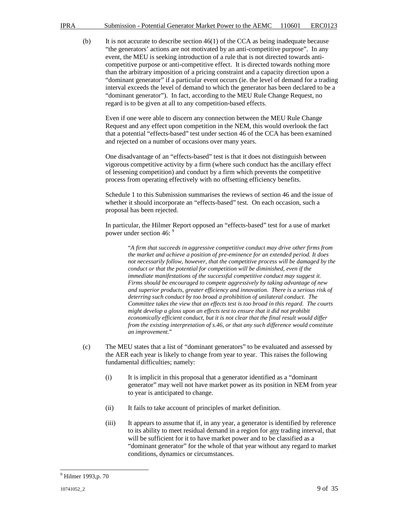- IPRA Submission Potential Generator Market Power to the AEMC 110601 ERC0123
	- (b) It is not accurate to describe section  $46(1)$  of the CCA as being inadequate because "the generators' actions are not motivated by an anti-competitive purpose". In any event, the MEU is seeking introduction of a rule that is not directed towards anticompetitive purpose or anti-competitive effect. It is directed towards nothing more than the arbitrary imposition of a pricing constraint and a capacity direction upon a "dominant generator" if a particular event occurs (ie. the level of demand for a trading interval exceeds the level of demand to which the generator has been declared to be a "dominant generator"). In fact, according to the MEU Rule Change Request, no regard is to be given at all to any competition-based effects.

Even if one were able to discern any connection between the MEU Rule Change Request and any effect upon competition in the NEM, this would overlook the fact that a potential "effects-based" test under section 46 of the CCA has been examined and rejected on a number of occasions over many years.

One disadvantage of an "effects-based" test is that it does not distinguish between vigorous competitive activity by a firm (where such conduct has the ancillary effect of lessening competition) and conduct by a firm which prevents the competitive process from operating effectively with no offsetting efficiency benefits.

Schedule 1 to this Submission summarises the reviews of section 46 and the issue of whether it should incorporate an "effects-based" test. On each occasion, such a proposal has been rejected.

In particular, the Hilmer Report opposed an "effects-based" test for a use of market power under section 46: <sup>9</sup>

"*A firm that succeeds in aggressive competitive conduct may drive other firms from the market and achieve a position of pre-eminence for an extended period. It does not necessarily follow, however, that the competitive process will be damaged by the conduct or that the potential for competition will be diminished, even if the immediate manifestations of the successful competitive conduct may suggest it. Firms should be encouraged to compete aggressively by taking advantage of new and superior products, greater efficiency and innovation. There is a serious risk of deterring such conduct by too broad a prohibition of unilateral conduct. The Committee takes the view that an effects test is too broad in this regard. The courts might develop a gloss upon an effects test to ensure that it did not prohibit economically efficient conduct, but it is not clear that the final result would differ from the existing interpretation of s.46, or that any such difference would constitute an improvement*."

- (c) The MEU states that a list of "dominant generators" to be evaluated and assessed by the AER each year is likely to change from year to year. This raises the following fundamental difficulties; namely:
	- (i) It is implicit in this proposal that a generator identified as a "dominant generator" may well not have market power as its position in NEM from year to year is anticipated to change.
	- (ii) It fails to take account of principles of market definition.
	- (iii) It appears to assume that if, in any year, a generator is identified by reference to its ability to meet residual demand in a region for any trading interval, that will be sufficient for it to have market power and to be classified as a "dominant generator" for the whole of that year without any regard to market conditions, dynamics or circumstances.

<sup>&</sup>lt;sup>9</sup> Hilmer 1993,p. 70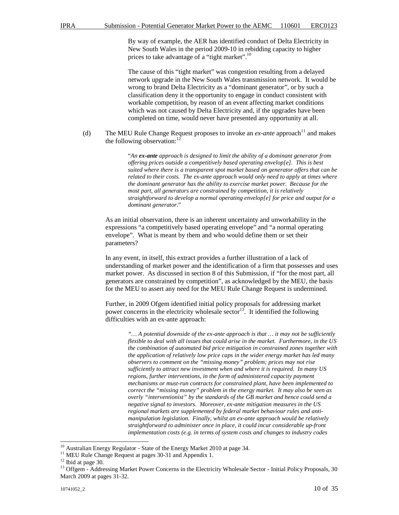By way of example, the AER has identified conduct of Delta Electricity in New South Wales in the period 2009-10 in rebidding capacity to higher prices to take advantage of a "tight market".<sup>10</sup>

The cause of this "tight market" was congestion resulting from a delayed network upgrade in the New South Wales transmission network. It would be wrong to brand Delta Electricity as a "dominant generator", or by such a classification deny it the opportunity to engage in conduct consistent with workable competition, by reason of an event affecting market conditions which was not caused by Delta Electricity and, if the upgrades have been completed on time, would never have presented any opportunity at all.

(d) The MEU Rule Change Request proposes to invoke an  $ex$ -anteapproach<sup>11</sup> and makes the following observation: $<sup>1</sup>$ </sup>

> "*An ex-ante approach is designed to limit the ability of a dominant generator from offering prices outside a competitively based operating envelop[e]. This is best suited where there is a transparent spot market based on generator offers that can be related to their costs. The ex-ante approach would only need to apply at times where the dominant generator has the ability to exercise market power. Because for the most part, all generators are constrained by competition, it is relatively straightforward to develop a normal operating envelop[e] for price and output for a dominant generator*."

As an initial observation, there is an inherent uncertainty and unworkability in the expressions "a competitively based operating envelope" and "a normal operating envelope". What is meant by them and who would define them or set their parameters?

In any event, in itself, this extract provides a further illustration of a lack of understanding of market power and the identification of a firm that possesses and uses market power. As discussed in section 8 of this Submission, if "for the most part, all generators are constrained by competition", as acknowledged by the MEU, the basis for the MEU to assert any need for the MEU Rule Change Request is undermined.

Further, in 2009 Ofgem identified initial policy proposals for addressing market power concerns in the electricity wholesale  $sector<sup>13</sup>$ . It identified the following difficulties with an ex-ante approach:

> *"… A potential downside of the ex-ante approach is that … it may not be sufficiently flexible to deal with all issues that could arise in the market. Furthermore, in the US the combination of automated bid price mitigation in constrained zones together with the application of relatively low price caps in the wider energy market has led many observers to comment on the "missing money" problem; prices may not rise sufficiently to attract new investment when and where it is required. In many US regions, further interventions, in the form of administered capacity payment mechanisms or must-run contracts for constrained plant, have been implemented to correct the "missing money" problem in the energy market. It may also be seen as overly "interventionist" by the standards of the GB market and hence could send a negative signal to investors. Moreover, ex-ante mitigation measures in the US regional markets are supplemented by federal market behaviour rules and antimanipulation legislation. Finally, whilst an ex-ante approach would be relatively straightforward to administer once in place, it could incur considerable up-front implementation costs (e.g. in terms of system costs and changes to industry codes*

 $10$  Australian Energy Regulator - State of the Energy Market 2010 at page 34.

<sup>&</sup>lt;sup>11</sup> MEU Rule Change Request at pages 30-31 and Appendix 1.

 $12$  Ibid at page 30.

<sup>&</sup>lt;sup>13</sup> Offgem - Addressing Market Power Concerns in the Electricity Wholesale Sector - Initial Policy Proposals, 30 March 2009 at pages 31-32.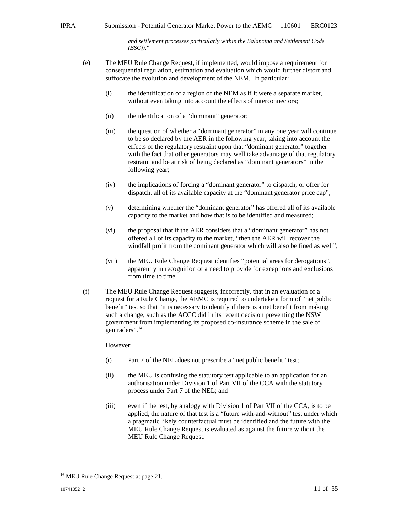*and settlement processes particularly within the Balancing and Settlement Code (BSC))*."

- (e) The MEU Rule Change Request, if implemented, would impose a requirement for consequential regulation, estimation and evaluation which would further distort and suffocate the evolution and development of the NEM. In particular:
	- (i) the identification of a region of the NEM as if it were a separate market, without even taking into account the effects of interconnectors;
	- (ii) the identification of a "dominant" generator;
	- (iii) the question of whether a "dominant generator" in any one year will continue to be so declared by the AER in the following year, taking into account the effects of the regulatory restraint upon that "dominant generator" together with the fact that other generators may well take advantage of that regulatory restraint and be at risk of being declared as "dominant generators" in the following year;
	- (iv) the implications of forcing a "dominant generator" to dispatch, or offer for dispatch, all of its available capacity at the "dominant generator price cap";
	- (v) determining whether the "dominant generator" has offered all of its available capacity to the market and how that is to be identified and measured;
	- (vi) the proposal that if the AER considers that a "dominant generator" has not offered all of its capacity to the market, "then the AER will recover the windfall profit from the dominant generator which will also be fined as well";
	- (vii) the MEU Rule Change Request identifies "potential areas for derogations", apparently in recognition of a need to provide for exceptions and exclusions from time to time.
- (f) The MEU Rule Change Request suggests, incorrectly, that in an evaluation of a request for a Rule Change, the AEMC is required to undertake a form of "net public benefit" test so that "it is necessary to identify if there is a net benefit from making such a change, such as the ACCC did in its recent decision preventing the NSW government from implementing its proposed co-insurance scheme in the sale of gentraders".<sup>14</sup>

However:

- (i) Part 7 of the NEL does not prescribe a "net public benefit" test;
- (ii) the MEU is confusing the statutory test applicable to an application for an authorisation under Division 1 of Part VII of the CCA with the statutory process under Part 7 of the NEL; and
- (iii) even if the test, by analogy with Division 1 of Part VII of the CCA, is to be applied, the nature of that test is a "future with-and-without" test under which a pragmatic likely counterfactual must be identified and the future with the MEU Rule Change Request is evaluated as against the future without the MEU Rule Change Request.

 $14$  MEU Rule Change Request at page 21.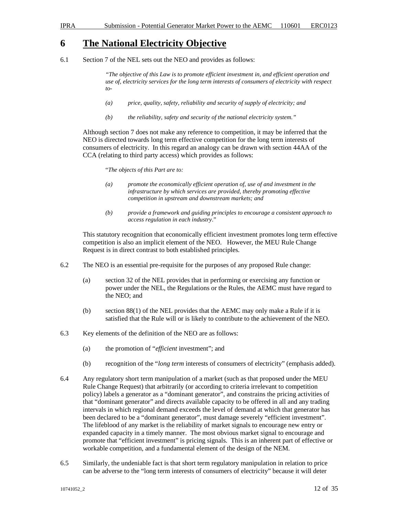### **6 The National Electricity Objective**

6.1 Section 7 of the NEL sets out the NEO and provides as follows:

*"The objective of this Law is to promote efficient investment in, and efficient operation and use of, electricity services for the long term interests of consumers of electricity with respect to-* 

- *(a) price, quality, safety, reliability and security of supply of electricity; and*
- *(b) the reliability, safety and security of the national electricity system."*

Although section 7 does not make any reference to competition, it may be inferred that the NEO is directed towards long term effective competition for the long term interests of consumers of electricity. In this regard an analogy can be drawn with section 44AA of the CCA (relating to third party access) which provides as follows:

"*The objects of this Part are to:* 

- *(a) promote the economically efficient operation of, use of and investment in the infrastructure by which services are provided, thereby promoting effective competition in upstream and downstream markets; and*
- *(b) provide a framework and guiding principles to encourage a consistent approach to access regulation in each industry*."

This statutory recognition that economically efficient investment promotes long term effective competition is also an implicit element of the NEO. However, the MEU Rule Change Request is in direct contrast to both established principles.

- 6.2 The NEO is an essential pre-requisite for the purposes of any proposed Rule change:
	- (a) section 32 of the NEL provides that in performing or exercising any function or power under the NEL, the Regulations or the Rules, the AEMC must have regard to the NEO; and
	- (b) section 88(1) of the NEL provides that the AEMC may only make a Rule if it is satisfied that the Rule will or is likely to contribute to the achievement of the NEO.
- 6.3 Key elements of the definition of the NEO are as follows:
	- (a) the promotion of "*efficient* investment"; and
	- (b) recognition of the "*long term* interests of consumers of electricity" (emphasis added).
- 6.4 Any regulatory short term manipulation of a market (such as that proposed under the MEU Rule Change Request) that arbitrarily (or according to criteria irrelevant to competition policy) labels a generator as a "dominant generator", and constrains the pricing activities of that "dominant generator" and directs available capacity to be offered in all and any trading intervals in which regional demand exceeds the level of demand at which that generator has been declared to be a "dominant generator", must damage severely "efficient investment". The lifeblood of any market is the reliability of market signals to encourage new entry or expanded capacity in a timely manner. The most obvious market signal to encourage and promote that "efficient investment" is pricing signals. This is an inherent part of effective or workable competition, and a fundamental element of the design of the NEM.
- 6.5 Similarly, the undeniable fact is that short term regulatory manipulation in relation to price can be adverse to the "long term interests of consumers of electricity" because it will deter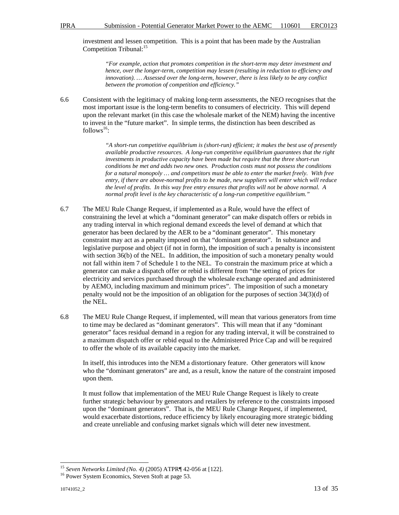investment and lessen competition. This is a point that has been made by the Australian Competition Tribunal:<sup>15</sup>

*"For example, action that promotes competition in the short-term may deter investment and hence, over the longer-term, competition may lessen (resulting in reduction to efficiency and innovation). … Assessed over the long-term, however, there is less likely to be any conflict between the promotion of competition and efficiency."* 

6.6 Consistent with the legitimacy of making long-term assessments, the NEO recognises that the most important issue is the long-term benefits to consumers of electricity. This will depend upon the relevant market (in this case the wholesale market of the NEM) having the incentive to invest in the "future market". In simple terms, the distinction has been described as  $follows^{16}$ :

> *"A short-run competitive equilibrium is (short-run) efficient; it makes the best use of presently available productive resources. A long-run competitive equilibrium guarantees that the right investments in productive capacity have been made but require that the three short-run conditions be met and adds two new ones. Production costs must not possess the conditions for a natural monopoly … and competitors must be able to enter the market freely. With free entry, if there are above-normal profits to be made, new suppliers will enter which will reduce the level of profits. In this way free entry ensures that profits will not be above normal. A normal profit level is the key characteristic of a long-run competitive equilibrium."*

- 6.7 The MEU Rule Change Request, if implemented as a Rule, would have the effect of constraining the level at which a "dominant generator" can make dispatch offers or rebids in any trading interval in which regional demand exceeds the level of demand at which that generator has been declared by the AER to be a "dominant generator". This monetary constraint may act as a penalty imposed on that "dominant generator". In substance and legislative purpose and object (if not in form), the imposition of such a penalty is inconsistent with section 36(b) of the NEL. In addition, the imposition of such a monetary penalty would not fall within item 7 of Schedule 1 to the NEL. To constrain the maximum price at which a generator can make a dispatch offer or rebid is different from "the setting of prices for electricity and services purchased through the wholesale exchange operated and administered by AEMO, including maximum and minimum prices". The imposition of such a monetary penalty would not be the imposition of an obligation for the purposes of section 34(3)(d) of the NEL.
- 6.8 The MEU Rule Change Request, if implemented, will mean that various generators from time to time may be declared as "dominant generators". This will mean that if any "dominant generator" faces residual demand in a region for any trading interval, it will be constrained to a maximum dispatch offer or rebid equal to the Administered Price Cap and will be required to offer the whole of its available capacity into the market.

In itself, this introduces into the NEM a distortionary feature. Other generators will know who the "dominant generators" are and, as a result, know the nature of the constraint imposed upon them.

It must follow that implementation of the MEU Rule Change Request is likely to create further strategic behaviour by generators and retailers by reference to the constraints imposed upon the "dominant generators". That is, the MEU Rule Change Request, if implemented, would exacerbate distortions, reduce efficiency by likely encouraging more strategic bidding and create unreliable and confusing market signals which will deter new investment.

<sup>15</sup> *Seven Networks Limited (No. 4)* (2005) ATPR¶ 42-056 at [122].

<sup>&</sup>lt;sup>16</sup> Power System Economics, Steven Stoft at page 53.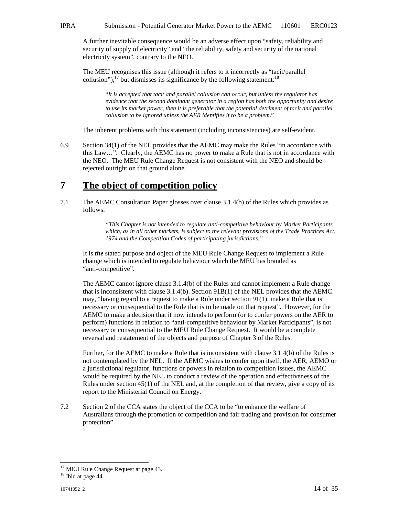A further inevitable consequence would be an adverse effect upon "safety, reliability and security of supply of electricity" and "the reliability, safety and security of the national electricity system", contrary to the NEO.

The MEU recognises this issue (although it refers to it incorrectly as "tacit/parallel collusion"), $^{17}$  but dismisses its significance by the following statement:<sup>18</sup>

> "*It is accepted that tacit and parallel collusion can occur, but unless the regulator has evidence that the second dominant generator in a region has both the opportunity and desire to use its market power, then it is preferable that the potential detriment of tacit and parallel collusion to be ignored unless the AER identifies it to be a problem*."

The inherent problems with this statement (including inconsistencies) are self-evident.

6.9 Section 34(1) of the NEL provides that the AEMC may make the Rules "in accordance with this Law…". Clearly, the AEMC has no power to make a Rule that is not in accordance with the NEO. The MEU Rule Change Request is not consistent with the NEO and should be rejected outright on that ground alone.

# **7 The object of competition policy**

7.1 The AEMC Consultation Paper glosses over clause 3.1.4(b) of the Rules which provides as follows:

> *"This Chapter is not intended to regulate anti-competitive behaviour by Market Participants which, as in all other markets, is subject to the relevant provisions of the Trade Practices Act, 1974 and the Competition Codes of participating jurisdictions."*

It is *the* stated purpose and object of the MEU Rule Change Request to implement a Rule change which is intended to regulate behaviour which the MEU has branded as "anti-competitive".

The AEMC cannot ignore clause 3.1.4(b) of the Rules and cannot implement a Rule change that is inconsistent with clause 3.1.4(b). Section 91B(1) of the NEL provides that the AEMC may, "having regard to a request to make a Rule under section 91(1), make a Rule that is necessary or consequential to the Rule that is to be made on that request". However, for the AEMC to make a decision that it now intends to perform (or to confer powers on the AER to perform) functions in relation to "anti-competitive behaviour by Market Participants", is not necessary or consequential to the MEU Rule Change Request. It would be a complete reversal and restatement of the objects and purpose of Chapter 3 of the Rules.

Further, for the AEMC to make a Rule that is inconsistent with clause 3.1.4(b) of the Rules is not contemplated by the NEL. If the AEMC wishes to confer upon itself, the AER, AEMO or a jurisdictional regulator, functions or powers in relation to competition issues, the AEMC would be required by the NEL to conduct a review of the operation and effectiveness of the Rules under section 45(1) of the NEL and, at the completion of that review, give a copy of its report to the Ministerial Council on Energy.

7.2 Section 2 of the CCA states the object of the CCA to be "to enhance the welfare of Australians through the promotion of competition and fair trading and provision for consumer protection".

<sup>&</sup>lt;sup>17</sup> MEU Rule Change Request at page 43.

<sup>&</sup>lt;sup>18</sup> Ibid at page 44.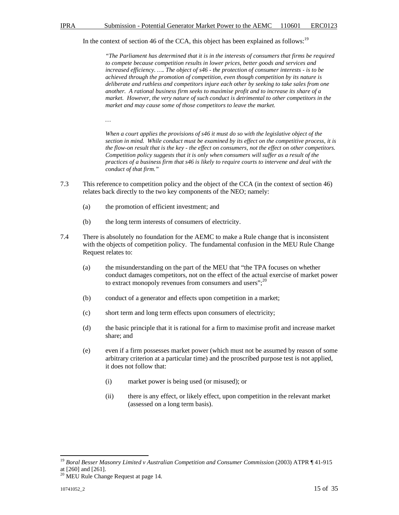#### In the context of section 46 of the CCA, this object has been explained as follows:<sup>19</sup>

*"The Parliament has determined that it is in the interests of consumers that firms be required to compete because competition results in lower prices, better goods and services and increased efficiency. …. The object of s46 - the protection of consumer interests - is to be achieved through the promotion of competition, even though competition by its nature is deliberate and ruthless and competitors injure each other by seeking to take sales from one another. A rational business firm seeks to maximise profit and to increase its share of a market. However, the very nature of such conduct is detrimental to other competitors in the market and may cause some of those competitors to leave the market.* 

*…* 

*When a court applies the provisions of s46 it must do so with the legislative object of the section in mind. While conduct must be examined by its effect on the competitive process, it is the flow-on result that is the key - the effect on consumers, not the effect on other competitors. Competition policy suggests that it is only when consumers will suffer as a result of the practices of a business firm that s46 is likely to require courts to intervene and deal with the conduct of that firm."* 

- 7.3 This reference to competition policy and the object of the CCA (in the context of section 46) relates back directly to the two key components of the NEO; namely:
	- (a) the promotion of efficient investment; and
	- (b) the long term interests of consumers of electricity.
- 7.4 There is absolutely no foundation for the AEMC to make a Rule change that is inconsistent with the objects of competition policy. The fundamental confusion in the MEU Rule Change Request relates to:
	- (a) the misunderstanding on the part of the MEU that "the TPA focuses on whether conduct damages competitors, not on the effect of the actual exercise of market power to extract monopoly revenues from consumers and users";<sup>20</sup>
	- (b) conduct of a generator and effects upon competition in a market;
	- (c) short term and long term effects upon consumers of electricity;
	- (d) the basic principle that it is rational for a firm to maximise profit and increase market share; and
	- (e) even if a firm possesses market power (which must not be assumed by reason of some arbitrary criterion at a particular time) and the proscribed purpose test is not applied, it does not follow that:
		- (i) market power is being used (or misused); or
		- (ii) there is any effect, or likely effect, upon competition in the relevant market (assessed on a long term basis).

<sup>19</sup> *Boral Besser Masonry Limited v Australian Competition and Consumer Commission* (2003) ATPR ¶ 41-915 at [260] and [261].

<sup>&</sup>lt;sup>20</sup> MEU Rule Change Request at page 14.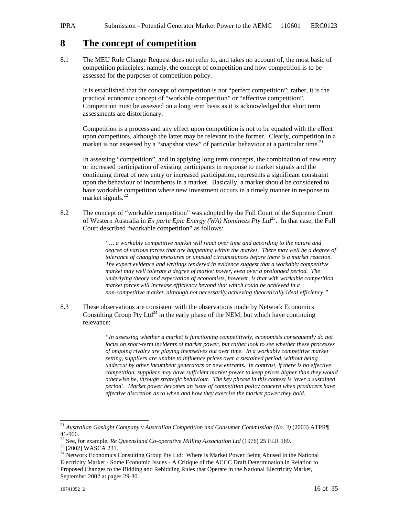### **8 The concept of competition**

8.1 The MEU Rule Change Request does not refer to, and takes no account of, the most basic of competition principles; namely, the concept of competition and how competition is to be assessed for the purposes of competition policy.

It is established that the concept of competition is not "perfect competition"; rather, it is the practical economic concept of "workable competition" or "effective competition". Competition must be assessed on a long term basis as it is acknowledged that short term assessments are distortionary.

Competition is a process and any effect upon competition is not to be equated with the effect upon competitors, although the latter may be relevant to the former. Clearly, competition in a market is not assessed by a "snapshot view" of particular behaviour at a particular time.<sup>21</sup>

In assessing "competition", and in applying long term concepts, the combination of new entry or increased participation of existing participants in response to market signals and the continuing threat of new entry or increased participation, represents a significant constraint upon the behaviour of incumbents in a market. Basically, a market should be considered to have workable competition where new investment occurs in a timely manner in response to market signals. $^{22}$ 

8.2 The concept of "workable competition" was adopted by the Full Court of the Supreme Court of Western Australia in *Ex parte Epic Energy (WA) Nominees Pty Ltd*<sup>23</sup>. In that case, the Full Court described "workable competition" as follows:

> *"… a workably competitive market will react over time and according to the nature and degree of various forces that are happening within the market. There may well be a degree of tolerance of changing pressures or unusual circumstances before there is a market reaction. The expert evidence and writings tendered in evidence suggest that a workably competitive market may well tolerate a degree of market power, even over a prolonged period. The underlying theory and expectation of economists, however, is that with workable competition market forces will increase efficiency beyond that which could be achieved in a non-competitive market, although not necessarily achieving theoretically ideal efficiency."*

8.3 These observations are consistent with the observations made by Network Economics Consulting Group Pty Ltd<sup>24</sup> in the early phase of the NEM, but which have continuing relevance:

> *"In assessing whether a market is functioning competitively, economists consequently do not focus on short-term incidents of market power, but rather look to see whether these processes of ongoing rivalry are playing themselves out over time. In a workably competitive market setting, suppliers are unable to influence prices over a sustained period, without being undercut by other incumbent generators or new entrants. In contrast, if there is no effective competition, suppliers may have sufficient market power to keep prices higher than they would otherwise be, through strategic behaviour. The key phrase in this context is 'over a sustained period'. Market power becomes an issue of competition policy concern when producers have effective discretion as to when and how they exercise the market power they hold.*

<sup>21</sup> *Australian Gaslight Company v Australian Competition and Consumer Commission (No. 3)* (2003) ATPR¶ 41-966.

<sup>22</sup> See, for example, *Re Queensland Co-operative Milling Association Ltd* (1976) 25 FLR 169.

<sup>&</sup>lt;sup>23</sup> [2002] WASCA 231.

<sup>&</sup>lt;sup>24</sup> Network Economics Consulting Group Pty Ltd: Where is Market Power Being Abused in the National Electricity Market - Some Economic Issues - A Critique of the ACCC Draft Determination in Relation to Proposed Changes to the Bidding and Rebidding Rules that Operate in the National Electricity Market, September 2002 at pages 29-30.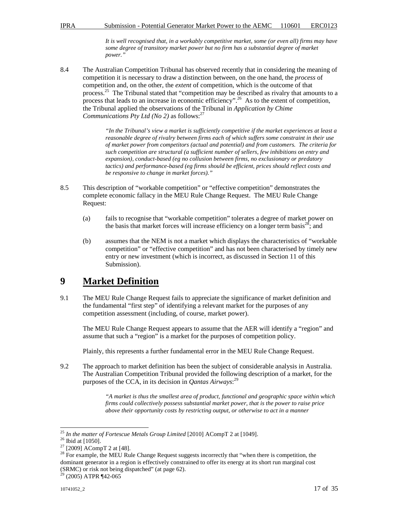*It is well recognised that, in a workably competitive market, some (or even all) firms may have some degree of transitory market power but no firm has a substantial degree of market power."* 

8.4 The Australian Competition Tribunal has observed recently that in considering the meaning of competition it is necessary to draw a distinction between, on the one hand, the *process* of competition and, on the other, the *extent* of competition, which is the outcome of that process.<sup>25</sup> The Tribunal stated that "competition may be described as rivalry that amounts to a process that leads to an increase in economic efficiency".<sup>26</sup> As to the extent of competition, the Tribunal applied the observations of the Tribunal in *Application by Chime Communications Pty Ltd (No 2)* as follows:<sup>27</sup>

> *"In the Tribunal's view a market is sufficiently competitive if the market experiences at least a reasonable degree of rivalry between firms each of which suffers some constraint in their use of market power from competitors (actual and potential) and from customers. The criteria for such competition are structural (a sufficient number of sellers, few inhibitions on entry and expansion), conduct-based (eg no collusion between firms, no exclusionary or predatory tactics) and performance-based (eg firms should be efficient, prices should reflect costs and be responsive to change in market forces)."*

- 8.5 This description of "workable competition" or "effective competition" demonstrates the complete economic fallacy in the MEU Rule Change Request. The MEU Rule Change Request:
	- (a) fails to recognise that "workable competition" tolerates a degree of market power on the basis that market forces will increase efficiency on a longer term basis<sup>28</sup>; and
	- (b) assumes that the NEM is not a market which displays the characteristics of "workable competition" or "effective competition" and has not been characterised by timely new entry or new investment (which is incorrect, as discussed in Section 11 of this Submission).

### **9 Market Definition**

9.1 The MEU Rule Change Request fails to appreciate the significance of market definition and the fundamental "first step" of identifying a relevant market for the purposes of any competition assessment (including, of course, market power).

The MEU Rule Change Request appears to assume that the AER will identify a "region" and assume that such a "region" is a market for the purposes of competition policy.

Plainly, this represents a further fundamental error in the MEU Rule Change Request.

9.2 The approach to market definition has been the subject of considerable analysis in Australia. The Australian Competition Tribunal provided the following description of a market, for the purposes of the CCA, in its decision in *Qantas Airways*: 29

> *"A market is thus the smallest area of product, functional and geographic space within which firms could collectively possess substantial market power, that is the power to raise price above their opportunity costs by restricting output, or otherwise to act in a manner*

 $\overline{a}$ <sup>25</sup> *In the matter of Fortescue Metals Group Limited* [2010] ACompT 2 at [1049].

 $26$  Ibid at [1050].

 $27$  [2009] ACompT 2 at [48].

<sup>&</sup>lt;sup>28</sup> For example, the MEU Rule Change Request suggests incorrectly that "when there is competition, the dominant generator in a region is effectively constrained to offer its energy at its short run marginal cost (SRMC) or risk not being dispatched" (at page 62).

 $29$  (2005) ATPR ¶42-065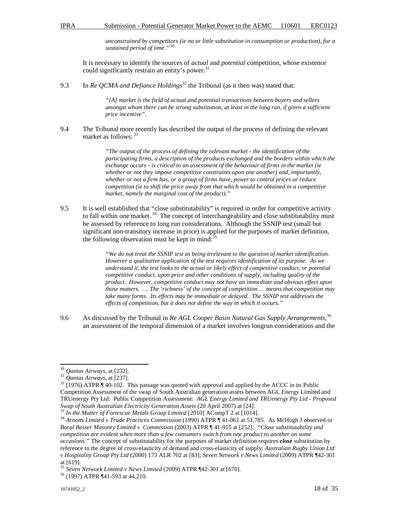*unconstrained by competitors (ie no or little substitution in consumption or production), for a sustained period of time."* <sup>30</sup>

It is necessary to identify the sources of *actual* and *potential* competition, whose existence could significantly restrain an entity's power. $31$ 

9.3 In *Re OCMA and Defiance Holdings*<sup>32</sup> the Tribunal (as it then was) stated that:

*"[A] market is the field of actual and potential transactions between buyers and sellers amongst whom there can be strong substitution, at least in the long run, if given a sufficient price incentive".* 

9.4 The Tribunal more recently has described the output of the process of defining the relevant market as follows: 33

> *"The output of the process of defining the relevant market - the identification of the participating firms, a description of the products exchanged and the borders within which the exchange occurs - is critical to an assessment of the behaviour of firms in the market (ie whether or not they impose competitive constraints upon one another) and, importantly, whether or not a firm has, or a group of firms have, power to control prices or reduce competition (ie to shift the price away from that which would be obtained in a competitive market, namely the marginal cost of the product)."*

9.5 It is well established that "close substitutability" is required in order for competitive activity to fall within one market.<sup>34</sup> The concept of interchangeability and close substitutability must be assessed by reference to long run considerations. Although the SSNIP test (small but significant non-transitory increase in price) is applied for the purposes of market definition, the following observation must be kept in mind: $35$ 

> *"We do not treat the SSNIP test as being irrelevant to the question of market identification. However a qualitative application of the test requires identification of its purpose. As we understand it, the test looks to the actual or likely effect of competitive conduct, or potential competitive conduct, upon price and other conditions of supply, including quality of the product. However, competitive conduct may not have an immediate and obvious effect upon those matters. … The 'richness' of the concept of competition … means that competition may take many forms. Its effects may be immediate or delayed. The SSNIP test addresses the effects of competition, but it does not define the way in which it occurs."*

9.6 As discussed by the Tribunal in *Re AGL Cooper Basin Natural Gas Supply Arrangements*, 36 an assessment of the temporal dimension of a market involves longrun considerations and the

 $\overline{a}$ <sup>30</sup> *Qantas Airways,* at [232].

<sup>31</sup> *Qantas Airways,* at [237].

 $32$  (1976) ATPR ¶ 40-102. This passage was quoted with approval and applied by the ACCC in its Public Competition Assessment of the swap of South Australian generation assets between AGL Energy Limited and TRUenergy Pty Ltd: Public Competition Assessment: *AGL Energy Limited and TRUenergy Pty Ltd - Proposed Swap of South Australian Electricity Generation Assets* (20 April 2007) at [24].

In the Matter of Fortescue Metals Group Limited [2010] ACompT 2 at [1014].

<sup>34</sup> *Arnotts Limited v Trade Practices Commission* (1990) ATPR ¶ 41-061 at 51,785. As McHugh J observed in *Boral Besser Masonry Limited v Commission* (2003) ATPR ¶ 41-915 at [252]: *"Close substitutability and competition are evident when more than a few consumers switch from one product to another on some occasions."* The concept of substitutability for the purposes of market definition requires *close* substitution by reference to the degree of cross-elasticity of demand and cross-elasticity of supply: *Australian Rugby Union Ltd v Hospitality Group Pty Ltd* (2000) 173 ALR 702 at [83]; *Seven Network v News Limited* (2009) ATPR ¶42-301 at [619].

<sup>35</sup> *Seven Network Limited v News Limited* (2009) ATPR ¶42-301 at [670].

<sup>36</sup> (1997) ATPR ¶41-593 at 44,210.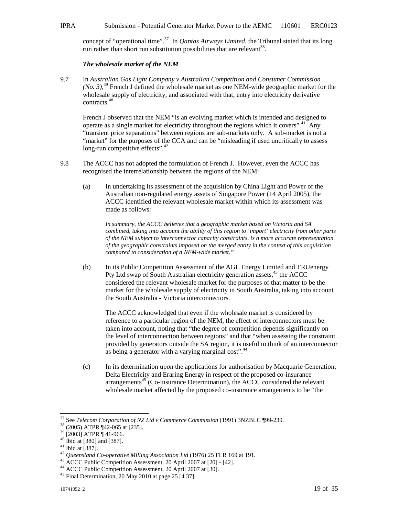concept of "operational time".<sup>37</sup> In *Qantas Airways Limited*, the Tribunal stated that its long run rather than short run substitution possibilities that are relevant<sup>38</sup>.

#### *The wholesale market of the NEM*

9.7 In *Australian Gas Light Company v Australian Competition and Consumer Commission (No. 3)*, <sup>39</sup> French J defined the wholesale market as one NEM-wide geographic market for the wholesale supply of electricity, and associated with that, entry into electricity derivative contracts.<sup>40</sup>

French J observed that the NEM "is an evolving market which is intended and designed to operate as a single market for electricity throughout the regions which it covers".<sup>41</sup> Any "transient price separations" between regions are sub-markets only. A sub-market is not a "market" for the purposes of the CCA and can be "misleading if used uncritically to assess long-run competitive effects".<sup>42</sup>

- 9.8 The ACCC has not adopted the formulation of French J. However, even the ACCC has recognised the interrelationship between the regions of the NEM:
	- (a) In undertaking its assessment of the acquisition by China Light and Power of the Australian non-regulated energy assets of Singapore Power (14 April 2005), the ACCC identified the relevant wholesale market within which its assessment was made as follows:

*In summary, the ACCC believes that a geographic market based on Victoria and SA combined, taking into account the ability of this region to 'import' electricity from other parts of the NEM subject to interconnector capacity constraints, is a more accurate representation of the geographic constraints imposed on the merged entity in the context of this acquisition compared to consideration of a NEM-wide market."* 

(b) In its Public Competition Assessment of the AGL Energy Limited and TRUenergy Pty Ltd swap of South Australian electricity generation assets,  $43$  the ACCC considered the relevant wholesale market for the purposes of that matter to be the market for the wholesale supply of electricity in South Australia, taking into account the South Australia - Victoria interconnectors.

The ACCC acknowledged that even if the wholesale market is considered by reference to a particular region of the NEM, the effect of interconnectors must be taken into account, noting that "the degree of competition depends significantly on the level of interconnection between regions" and that "when assessing the constraint provided by generators outside the SA region, it is useful to think of an interconnector as being a generator with a varying marginal cost".<sup>44</sup>

(c) In its determination upon the applications for authorisation by Macquarie Generation, Delta Electricity and Eraring Energy in respect of the proposed co-insurance  $\arctan^45$  (Co-insurance Determination), the ACCC considered the relevant wholesale market affected by the proposed co-insurance arrangements to be "the

<sup>37</sup> See *Telecom Corporation of NZ Ltd v Commerce Commission* (1991) 3NZBLC ¶99-239.

<sup>38</sup> (2005) ATPR ¶42-065 at [235].

<sup>39</sup> [2003] ATPR ¶ 41-966.

<sup>40</sup> Ibid at [380] and [387].

<sup>41</sup> Ibid at [387].

<sup>42</sup> *Queensland Co-operative Milling Association Ltd* (1976) 25 FLR 169 at 191.

<sup>43</sup> ACCC Public Competition Assessment, 20 April 2007 at [20] - [42].

<sup>44</sup> ACCC Public Competition Assessment, 20 April 2007 at [30].

<sup>45</sup> Final Determination, 20 May 2010 at page 25 [4.37].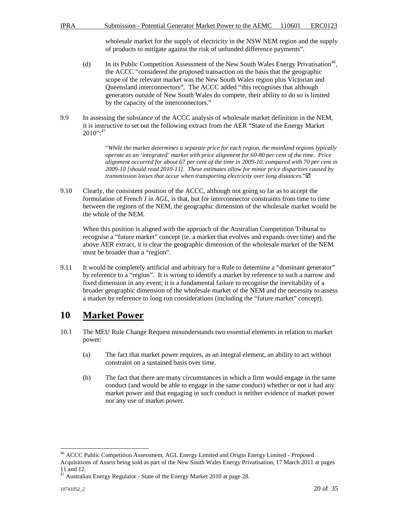wholesale market for the supply of electricity in the NSW NEM region and the supply of products to mitigate against the risk of unfunded difference payments".

- (d) In its Public Competition Assessment of the New South Wales Energy Privatisation<sup>46</sup>, the ACCC "considered the proposed transaction on the basis that the geographic scope of the relevant market was the New South Wales region plus Victorian and Queensland interconnectors". The ACCC added "this recognises that although generators outside of New South Wales do compete, their ability to do so is limited by the capacity of the interconnectors."
- 9.9 In assessing the substance of the ACCC analysis of wholesale market definition in the NEM, it is instructive to set out the following extract from the AER "State of the Energy Market  $2010$ ":<sup>47</sup>

"*While the market determines a separate price for each region, the mainland regions typically operate as an 'integrated' market with price alignment for 60-80 per cent of the time. Price alignment occurred for about 67 per cent of the time in 2009-10, compared with 70 per cent in 2009-10 [should read 2010-11]. These estimates allow for minor price disparities caused by transmission losses that occur when transporting electricity over long distances*."

9.10 Clearly, the consistent position of the ACCC, although not going so far as to accept the formulation of French J in *AGL*, is that, but for interconnector constraints from time to time between the regions of the NEM, the geographic dimension of the wholesale market would be the whole of the NEM.

When this position is aligned with the approach of the Australian Competition Tribunal to recognise a "future market" concept (ie. a market that evolves and expands over time) and the above AER extract, it is clear the geographic dimension of the wholesale market of the NEM must be broader than a "region".

9.11 It would be completely artificial and arbitrary for a Rule to determine a "dominant generator" by reference to a "region". It is wrong to identify a market by reference to such a narrow and fixed dimension in any event; it is a fundamental failure to recognise the inevitability of a broader geographic dimension of the wholesale market of the NEM and the necessity to assess a market by reference to long run considerations (including the "future market" concept).

# **10 Market Power**

- 10.1 The MEU Rule Change Request misunderstands two essential elements in relation to market power:
	- (a) The fact that market power requires, as an integral element, an ability to act without constraint on a sustained basis over time.
	- (b) The fact that there are many circumstances in which a firm would engage in the same conduct (and would be able to engage in the same conduct) whether or not it had any market power and that engaging in such conduct is neither evidence of market power nor any use of market power.

 $\overline{a}$ <sup>46</sup> ACCC Public Competition Assessment, AGL Energy Limited and Origin Energy Limited - Proposed Acquisitions of Assets being sold as part of the New South Wales Energy Privatisation, 17 March 2011 at pages 11 and 12.

 $47$  Australian Energy Regulator - State of the Energy Market 2010 at page 28.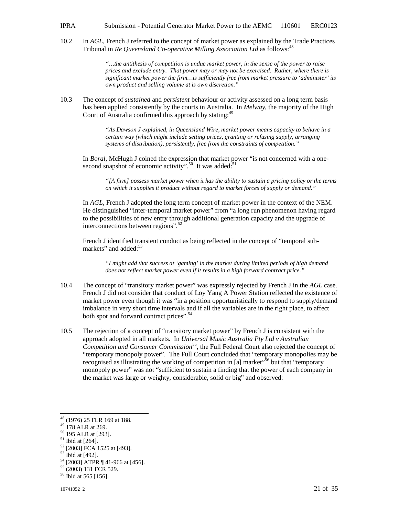10.2 In *AGL*, French J referred to the concept of market power as explained by the Trade Practices Tribunal in *Re Queensland Co-operative Milling Association Ltd* as follows:<sup>48</sup>

> *"…the antithesis of competition is undue market power, in the sense of the power to raise prices and exclude entry. That power may or may not be exercised. Rather, where there is significant market power the firm…is sufficiently free from market pressure to 'administer' its own product and selling volume at is own discretion."*

10.3 The concept of *sustained* and *persistent* behaviour or activity assessed on a long term basis has been applied consistently by the courts in Australia. In *Melway*, the majority of the High Court of Australia confirmed this approach by stating:<sup>49</sup>

> *"As Dawson J explained, in Queensland Wire, market power means capacity to behave in a certain way (which might include setting prices, granting or refusing supply, arranging systems of distribution), persistently, free from the constraints of competition."*

In *Boral*, McHugh J coined the expression that market power "is not concerned with a onesecond snapshot of economic activity".<sup>50</sup> It was added:<sup>51</sup>

*"[A firm] possess market power when it has the ability to sustain a pricing policy or the terms on which it supplies it product without regard to market forces of supply or demand."* 

In *AGL*, French J adopted the long term concept of market power in the context of the NEM. He distinguished "inter-temporal market power" from "a long run phenomenon having regard to the possibilities of new entry through additional generation capacity and the upgrade of interconnections between regions".<sup>52</sup>

French J identified transient conduct as being reflected in the concept of "temporal submarkets" and added:<sup>53</sup>

*"I might add that success at 'gaming' in the market during limited periods of high demand does not reflect market power even if it results in a high forward contract price."* 

- 10.4 The concept of "transitory market power" was expressly rejected by French J in the *AGL* case. French J did not consider that conduct of Loy Yang A Power Station reflected the existence of market power even though it was "in a position opportunistically to respond to supply/demand imbalance in very short time intervals and if all the variables are in the right place, to affect both spot and forward contract prices".<sup>54</sup>
- 10.5 The rejection of a concept of "transitory market power" by French J is consistent with the approach adopted in all markets. In *Universal Music Australia Pty Ltd v Australian Competition and Consumer Commission*<sup>55</sup>, the Full Federal Court also rejected the concept of "temporary monopoly power". The Full Court concluded that "temporary monopolies may be recognised as illustrating the working of competition in [a] market<sup>556</sup> but that "temporary monopoly power" was not "sufficient to sustain a finding that the power of each company in the market was large or weighty, considerable, solid or big" and observed:

<sup>&</sup>lt;sup>48</sup> (1976) 25 FLR 169 at 188.

 $49$  178 ALR at 269.

<sup>50</sup> 195 ALR at [293].

 $51$  Ibid at [264].

<sup>52</sup> [2003] FCA 1525 at [493].

<sup>53</sup> Ibid at [492].

<sup>54</sup> [2003] ATPR ¶ 41-966 at [456].

<sup>55</sup> (2003) 131 FCR 529.

<sup>&</sup>lt;sup>56</sup> Ibid at 565 [156].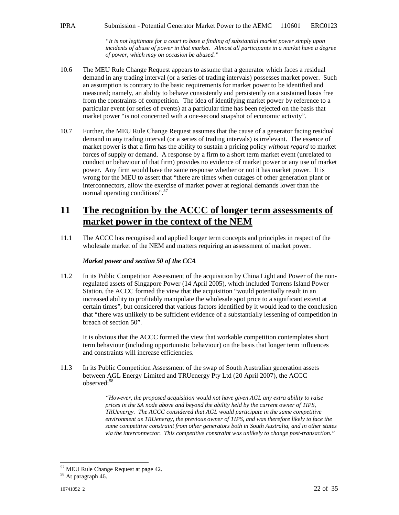*"It is not legitimate for a court to base a finding of substantial market power simply upon incidents of abuse of power in that market. Almost all participants in a market have a degree of power, which may on occasion be abused."* 

- 10.6 The MEU Rule Change Request appears to assume that a generator which faces a residual demand in any trading interval (or a series of trading intervals) possesses market power. Such an assumption is contrary to the basic requirements for market power to be identified and measured; namely, an ability to behave consistently and persistently on a sustained basis free from the constraints of competition. The idea of identifying market power by reference to a particular event (or series of events) at a particular time has been rejected on the basis that market power "is not concerned with a one-second snapshot of economic activity".
- 10.7 Further, the MEU Rule Change Request assumes that the cause of a generator facing residual demand in any trading interval (or a series of trading intervals) is irrelevant. The essence of market power is that a firm has the ability to sustain a pricing policy *without regard* to market forces of supply or demand. A response by a firm to a short term market event (unrelated to conduct or behaviour of that firm) provides no evidence of market power or any use of market power. Any firm would have the same response whether or not it has market power. It is wrong for the MEU to assert that "there are times when outages of other generation plant or interconnectors, allow the exercise of market power at regional demands lower than the normal operating conditions".<sup>57</sup>

# **11 The recognition by the ACCC of longer term assessments of market power in the context of the NEM**

11.1 The ACCC has recognised and applied longer term concepts and principles in respect of the wholesale market of the NEM and matters requiring an assessment of market power.

#### *Market power and section 50 of the CCA*

11.2 In its Public Competition Assessment of the acquisition by China Light and Power of the nonregulated assets of Singapore Power (14 April 2005), which included Torrens Island Power Station, the ACCC formed the view that the acquisition "would potentially result in an increased ability to profitably manipulate the wholesale spot price to a significant extent at certain times", but considered that various factors identified by it would lead to the conclusion that "there was unlikely to be sufficient evidence of a substantially lessening of competition in breach of section 50".

It is obvious that the ACCC formed the view that workable competition contemplates short term behaviour (including opportunistic behaviour) on the basis that longer term influences and constraints will increase efficiencies.

11.3 In its Public Competition Assessment of the swap of South Australian generation assets between AGL Energy Limited and TRUenergy Pty Ltd (20 April 2007), the ACCC observed:<sup>58</sup>

> *"However, the proposed acquisition would not have given AGL any extra ability to raise prices in the SA node above and beyond the ability held by the current owner of TIPS, TRUenergy. The ACCC considered that AGL would participate in the same competitive environment as TRUenergy, the previous owner of TIPS, and was therefore likely to face the same competitive constraint from other generators both in South Australia, and in other states via the interconnector. This competitive constraint was unlikely to change post-transaction."*

<sup>&</sup>lt;sup>57</sup> MEU Rule Change Request at page 42.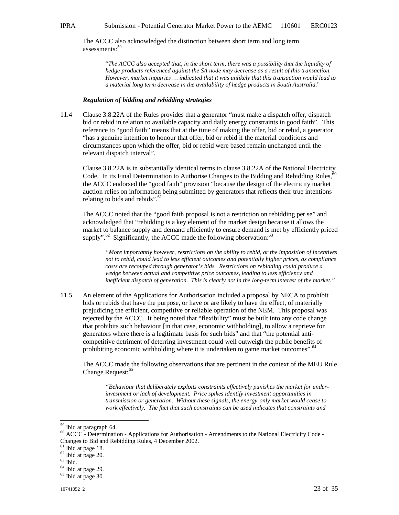The ACCC also acknowledged the distinction between short term and long term assessments:<sup>59</sup>

> "*The ACCC also accepted that, in the short term, there was a possibility that the liquidity of hedge products referenced against the SA node may decrease as a result of this transaction. However, market inquiries … indicated that it was unlikely that this transaction would lead to a material long term decrease in the availability of hedge products in South Australia*."

#### *Regulation of bidding and rebidding strategies*

11.4 Clause 3.8.22A of the Rules provides that a generator "must make a dispatch offer, dispatch bid or rebid in relation to available capacity and daily energy constraints in good faith". This reference to "good faith" means that at the time of making the offer, bid or rebid, a generator "has a genuine intention to honour that offer, bid or rebid if the material conditions and circumstances upon which the offer, bid or rebid were based remain unchanged until the relevant dispatch interval".

Clause 3.8.22A is in substantially identical terms to clause 3.8.22A of the National Electricity Code. In its Final Determination to Authorise Changes to the Bidding and Rebidding Rules,<sup>6</sup> the ACCC endorsed the "good faith" provision "because the design of the electricity market auction relies on information being submitted by generators that reflects their true intentions relating to bids and rebids". $61$ 

The ACCC noted that the "good faith proposal is not a restriction on rebidding per se" and acknowledged that "rebidding is a key element of the market design because it allows the market to balance supply and demand efficiently to ensure demand is met by efficiently priced supply". $62$  Significantly, the ACCC made the following observation:  $63$ 

*"More importantly however, restrictions on the ability to rebid, or the imposition of incentives not to rebid, could lead to less efficient outcomes and potentially higher prices, as compliance costs are recouped through generator's bids. Restrictions on rebidding could produce a wedge between actual and competitive price outcomes, leading to less efficiency and inefficient dispatch of generation. This is clearly not in the long-term interest of the market."* 

11.5 An element of the Applications for Authorisation included a proposal by NECA to prohibit bids or rebids that have the purpose, or have or are likely to have the effect, of materially prejudicing the efficient, competitive or reliable operation of the NEM. This proposal was rejected by the ACCC. It being noted that "flexibility" must be built into any code change that prohibits such behaviour [in that case, economic withholding], to allow a reprieve for generators where there is a legitimate basis for such bids" and that "the potential anticompetitive detriment of deterring investment could well outweigh the public benefits of prohibiting economic withholding where it is undertaken to game market outcomes".<sup>64</sup>

The ACCC made the following observations that are pertinent in the context of the MEU Rule Change Request:<sup>65</sup>

*"Behaviour that deliberately exploits constraints effectively punishes the market for underinvestment or lack of development. Price spikes identify investment opportunities in transmission or generation. Without these signals, the energy-only market would cease to work effectively. The fact that such constraints can be used indicates that constraints and* 

<sup>&</sup>lt;sup>59</sup> Ibid at paragraph 64.

<sup>60</sup> ACCC - Determination - Applications for Authorisation - Amendments to the National Electricity Code - Changes to Bid and Rebidding Rules, 4 December 2002.

 $61$  Ibid at page 18.

<sup>62</sup> Ibid at page 20.

 $^{63}$  Ibid.

<sup>64</sup> Ibid at page 29.

 $65$  Ibid at page 30.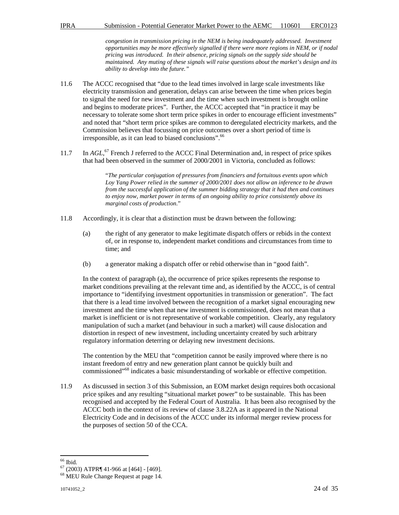*congestion in transmission pricing in the NEM is being inadequately addressed. Investment opportunities may be more effectively signalled if there were more regions in NEM, or if nodal pricing was introduced. In their absence, pricing signals on the supply side should be maintained. Any muting of these signals will raise questions about the market's design and its ability to develop into the future."* 

- 11.6 The ACCC recognised that "due to the lead times involved in large scale investments like electricity transmission and generation, delays can arise between the time when prices begin to signal the need for new investment and the time when such investment is brought online and begins to moderate prices". Further, the ACCC accepted that "in practice it may be necessary to tolerate some short term price spikes in order to encourage efficient investments" and noted that "short term price spikes are common to deregulated electricity markets, and the Commission believes that focussing on price outcomes over a short period of time is irresponsible, as it can lead to biased conclusions".<sup>66</sup>
- 11.7 In *AGL*,<sup>67</sup> French J referred to the ACCC Final Determination and, in respect of price spikes that had been observed in the summer of 2000/2001 in Victoria, concluded as follows:

"*The particular conjugation of pressures from financiers and fortuitous events upon which Loy Yang Power relied in the summer of 2000/2001 does not allow an inference to be drawn from the successful application of the summer bidding strategy that it had then and continues to enjoy now, market power in terms of an ongoing ability to price consistently above its marginal costs of production*."

- 11.8 Accordingly, it is clear that a distinction must be drawn between the following:
	- (a) the right of any generator to make legitimate dispatch offers or rebids in the context of, or in response to, independent market conditions and circumstances from time to time; and
	- (b) a generator making a dispatch offer or rebid otherwise than in "good faith".

In the context of paragraph (a), the occurrence of price spikes represents the response to market conditions prevailing at the relevant time and, as identified by the ACCC, is of central importance to "identifying investment opportunities in transmission or generation". The fact that there is a lead time involved between the recognition of a market signal encouraging new investment and the time when that new investment is commissioned, does not mean that a market is inefficient or is not representative of workable competition. Clearly, any regulatory manipulation of such a market (and behaviour in such a market) will cause dislocation and distortion in respect of new investment, including uncertainty created by such arbitrary regulatory information deterring or delaying new investment decisions.

The contention by the MEU that "competition cannot be easily improved where there is no instant freedom of entry and new generation plant cannot be quickly built and commissioned"<sup>68</sup> indicates a basic misunderstanding of workable or effective competition.

11.9 As discussed in section 3 of this Submission, an EOM market design requires both occasional price spikes and any resulting "situational market power" to be sustainable. This has been recognised and accepted by the Federal Court of Australia. It has been also recognised by the ACCC both in the context of its review of clause 3.8.22A as it appeared in the National Electricity Code and in decisions of the ACCC under its informal merger review process for the purposes of section 50 of the CCA.

 $\overline{a}$ <sup>66</sup> Ibid.

 $67$  (2003) ATPR¶ 41-966 at [464] - [469].

<sup>68</sup> MEU Rule Change Request at page 14.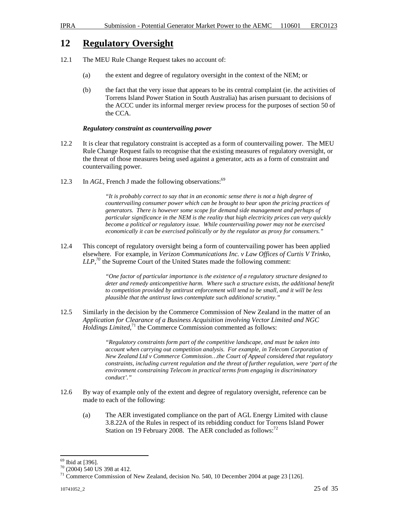### **12 Regulatory Oversight**

- 12.1 The MEU Rule Change Request takes no account of:
	- (a) the extent and degree of regulatory oversight in the context of the NEM; or
	- (b) the fact that the very issue that appears to be its central complaint (ie. the activities of Torrens Island Power Station in South Australia) has arisen pursuant to decisions of the ACCC under its informal merger review process for the purposes of section 50 of the CCA.

#### *Regulatory constraint as countervailing power*

- 12.2 It is clear that regulatory constraint is accepted as a form of countervailing power. The MEU Rule Change Request fails to recognise that the existing measures of regulatory oversight, or the threat of those measures being used against a generator, acts as a form of constraint and countervailing power.
- 12.3 In *AGL*, French J made the following observations:<sup>69</sup>

*"It is probably correct to say that in an economic sense there is not a high degree of countervailing consumer power which can be brought to bear upon the pricing practices of generators. There is however some scope for demand side management and perhaps of particular significance in the NEM is the reality that high electricity prices can very quickly become a political or regulatory issue. While countervailing power may not be exercised economically it can be exercised politically or by the regulator as proxy for consumers."* 

12.4 This concept of regulatory oversight being a form of countervailing power has been applied elsewhere. For example, in *Verizon Communications Inc. v Law Offices of Curtis V Trinko, LLP*,<sup>70</sup> the Supreme Court of the United States made the following comment:

> *"One factor of particular importance is the existence of a regulatory structure designed to deter and remedy anticompetitive harm. Where such a structure exists, the additional benefit to competition provided by antitrust enforcement will tend to be small, and it will be less plausible that the antitrust laws contemplate such additional scrutiny."*

12.5 Similarly in the decision by the Commerce Commission of New Zealand in the matter of an *Application for Clearance of a Business Acquisition involving Vector Limited and NGC Holdings Limited*<sup>71</sup>, the Commerce Commission commented as follows:

> *"Regulatory constraints form part of the competitive landscape, and must be taken into account when carrying out competition analysis. For example, in Telecom Corporation of New Zealand Ltd v Commerce Commission…the Court of Appeal considered that regulatory constraints, including current regulation and the threat of further regulation, were 'part of the environment constraining Telecom in practical terms from engaging in discriminatory conduct'."*

- 12.6 By way of example only of the extent and degree of regulatory oversight, reference can be made to each of the following:
	- (a) The AER investigated compliance on the part of AGL Energy Limited with clause 3.8.22A of the Rules in respect of its rebidding conduct for Torrens Island Power Station on 19 February 2008. The AER concluded as follows: $^{72}$

 $\overline{a}$ <sup>69</sup> Ibid at [396].

<sup>70</sup> (2004) 540 US 398 at 412.

<sup>&</sup>lt;sup>71</sup> Commerce Commission of New Zealand, decision No. 540, 10 December 2004 at page 23 [126].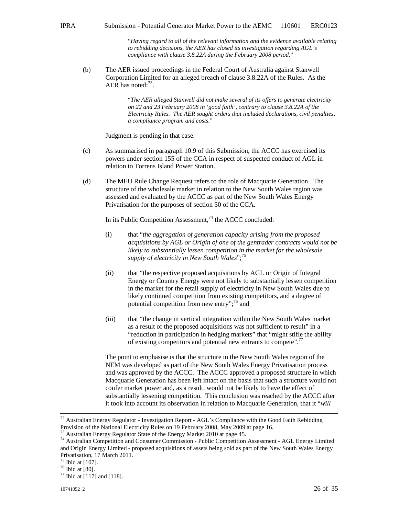"*Having regard to all of the relevant information and the evidence available relating to rebidding decisions, the AER has closed its investigation regarding AGL's compliance with clause 3.8.22A during the February 2008 period*."

(b) The AER issued proceedings in the Federal Court of Australia against Stanwell Corporation Limited for an alleged breach of clause 3.8.22A of the Rules. As the AER has noted: $73$ .

> "*The AER alleged Stanwell did not make several of its offers to generate electricity on 22 and 23 February 2008 in 'good faith', contrary to clause 3.8.22A of the Electricity Rules. The AER sought orders that included declarations, civil penalties, a compliance program and costs*."

Judgment is pending in that case.

- (c) As summarised in paragraph 10.9 of this Submission, the ACCC has exercised its powers under section 155 of the CCA in respect of suspected conduct of AGL in relation to Torrens Island Power Station.
- (d) The MEU Rule Change Request refers to the role of Macquarie Generation. The structure of the wholesale market in relation to the New South Wales region was assessed and evaluated by the ACCC as part of the New South Wales Energy Privatisation for the purposes of section 50 of the CCA.

In its Public Competition Assessment, $74$  the ACCC concluded:

- (i) that "*the aggregation of generation capacity arising from the proposed acquisitions by AGL or Origin of one of the gentrader contracts would not be likely to substantially lessen competition in the market for the wholesale supply of electricity in New South Wales*";<sup>75</sup>
- (ii) that "the respective proposed acquisitions by AGL or Origin of Integral Energy or Country Energy were not likely to substantially lessen competition in the market for the retail supply of electricity in New South Wales due to likely continued competition from existing competitors, and a degree of potential competition from new entry"; $^{76}$  and
- (iii) that "the change in vertical integration within the New South Wales market as a result of the proposed acquisitions was not sufficient to result" in a "reduction in participation in hedging markets" that "might stifle the ability of existing competitors and potential new entrants to compete".<sup>77</sup>

The point to emphasise is that the structure in the New South Wales region of the NEM was developed as part of the New South Wales Energy Privatisation process and was approved by the ACCC. The ACCC approved a proposed structure in which Macquarie Generation has been left intact on the basis that such a structure would not confer market power and, as a result, would not be likely to have the effect of substantially lessening competition. This conclusion was reached by the ACCC after it took into account its observation in relation to Macquarie Generation, that it "*will* 

 $72$  Australian Energy Regulator - Investigation Report - AGL's Compliance with the Good Faith Rebidding Provision of the National Electricity Rules on 19 February 2008, May 2009 at page 16.

<sup>&</sup>lt;sup>73</sup> Australian Energy Regulator State of the Energy Market 2010 at page 45.

<sup>74</sup> Australian Competition and Consumer Commission - Public Competition Assessment - AGL Energy Limited and Origin Energy Limited - proposed acquisitions of assets being sold as part of the New South Wales Energy Privatisation, 17 March 2011.

<sup>75</sup> Ibid at [107].

 $76$  Ibid at [80].

 $77$  Ibid at [117] and [118].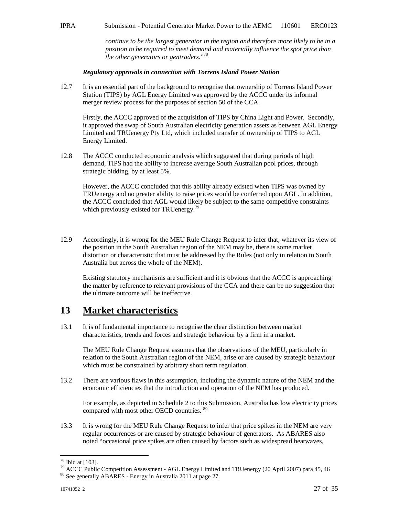*continue to be the largest generator in the region and therefore more likely to be in a position to be required to meet demand and materially influence the spot price than the other generators or gentraders*."<sup>78</sup>

#### *Regulatory approvals in connection with Torrens Island Power Station*

12.7 It is an essential part of the background to recognise that ownership of Torrens Island Power Station (TIPS) by AGL Energy Limited was approved by the ACCC under its informal merger review process for the purposes of section 50 of the CCA.

Firstly, the ACCC approved of the acquisition of TIPS by China Light and Power. Secondly, it approved the swap of South Australian electricity generation assets as between AGL Energy Limited and TRUenergy Pty Ltd, which included transfer of ownership of TIPS to AGL Energy Limited.

12.8 The ACCC conducted economic analysis which suggested that during periods of high demand, TIPS had the ability to increase average South Australian pool prices, through strategic bidding, by at least 5%.

However, the ACCC concluded that this ability already existed when TIPS was owned by TRUenergy and no greater ability to raise prices would be conferred upon AGL. In addition, the ACCC concluded that AGL would likely be subject to the same competitive constraints which previously existed for TRUenergy.<sup>79</sup>

12.9 Accordingly, it is wrong for the MEU Rule Change Request to infer that, whatever its view of the position in the South Australian region of the NEM may be, there is some market distortion or characteristic that must be addressed by the Rules (not only in relation to South Australia but across the whole of the NEM).

Existing statutory mechanisms are sufficient and it is obvious that the ACCC is approaching the matter by reference to relevant provisions of the CCA and there can be no suggestion that the ultimate outcome will be ineffective.

### **13 Market characteristics**

13.1 It is of fundamental importance to recognise the clear distinction between market characteristics, trends and forces and strategic behaviour by a firm in a market.

The MEU Rule Change Request assumes that the observations of the MEU, particularly in relation to the South Australian region of the NEM, arise or are caused by strategic behaviour which must be constrained by arbitrary short term regulation.

13.2 There are various flaws in this assumption, including the dynamic nature of the NEM and the economic efficiencies that the introduction and operation of the NEM has produced.

For example, as depicted in Schedule 2 to this Submission, Australia has low electricity prices compared with most other OECD countries. <sup>80</sup>

13.3 It is wrong for the MEU Rule Change Request to infer that price spikes in the NEM are very regular occurrences or are caused by strategic behaviour of generators. As ABARES also noted "occasional price spikes are often caused by factors such as widespread heatwaves,

 $78$  Ibid at [103].

<sup>&</sup>lt;sup>79</sup> ACCC Public Competition Assessment - AGL Energy Limited and TRUenergy (20 April 2007) para 45, 46 <sup>80</sup> See generally ABARES - Energy in Australia 2011 at page 27.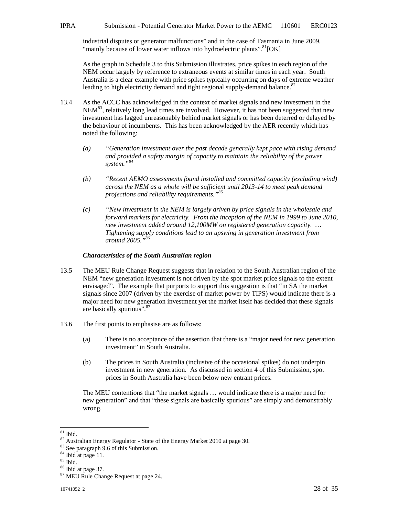industrial disputes or generator malfunctions" and in the case of Tasmania in June 2009, "mainly because of lower water inflows into hydroelectric plants".<sup>81</sup>[OK]

As the graph in Schedule 3 to this Submission illustrates, price spikes in each region of the NEM occur largely by reference to extraneous events at similar times in each year. South Australia is a clear example with price spikes typically occurring on days of extreme weather leading to high electricity demand and tight regional supply-demand balance.<sup>82</sup>

- 13.4 As the ACCC has acknowledged in the context of market signals and new investment in the  $NEM<sup>83</sup>$ , relatively long lead times are involved. However, it has not been suggested that new investment has lagged unreasonably behind market signals or has been deterred or delayed by the behaviour of incumbents. This has been acknowledged by the AER recently which has noted the following:
	- *(a) "Generation investment over the past decade generally kept pace with rising demand and provided a safety margin of capacity to maintain the reliability of the power system."<sup>84</sup>*
	- *(b) "Recent AEMO assessments found installed and committed capacity (excluding wind) across the NEM as a whole will be sufficient until 2013-14 to meet peak demand projections and reliability requirements."<sup>85</sup>*
	- *(c) "New investment in the NEM is largely driven by price signals in the wholesale and forward markets for electricity. From the inception of the NEM in 1999 to June 2010, new investment added around 12,100MW on registered generation capacity. … Tightening supply conditions lead to an upswing in generation investment from around 2005."<sup>86</sup>*

#### *Characteristics of the South Australian region*

- 13.5 The MEU Rule Change Request suggests that in relation to the South Australian region of the NEM "new generation investment is not driven by the spot market price signals to the extent envisaged". The example that purports to support this suggestion is that "in SA the market signals since 2007 (driven by the exercise of market power by TIPS) would indicate there is a major need for new generation investment yet the market itself has decided that these signals are basically spurious". 87
- 13.6 The first points to emphasise are as follows:
	- (a) There is no acceptance of the assertion that there is a "major need for new generation investment" in South Australia.
	- (b) The prices in South Australia (inclusive of the occasional spikes) do not underpin investment in new generation. As discussed in section 4 of this Submission, spot prices in South Australia have been below new entrant prices.

The MEU contentions that "the market signals … would indicate there is a major need for new generation" and that "these signals are basically spurious" are simply and demonstrably wrong.

<sup>84</sup> Ibid at page 11.

 $\overline{a}$  $81$  Ibid.

<sup>82</sup> Australian Energy Regulator - State of the Energy Market 2010 at page 30.

<sup>83</sup> See paragraph 9.6 of this Submission.

 $^{85}$  Ibid.

<sup>86</sup> Ibid at page 37.

<sup>87</sup> MEU Rule Change Request at page 24.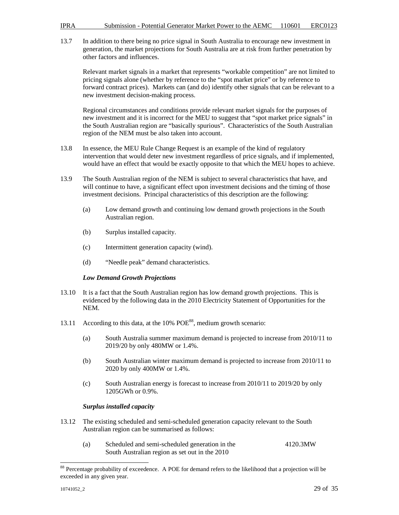13.7 In addition to there being no price signal in South Australia to encourage new investment in generation, the market projections for South Australia are at risk from further penetration by other factors and influences.

Relevant market signals in a market that represents "workable competition" are not limited to pricing signals alone (whether by reference to the "spot market price" or by reference to forward contract prices). Markets can (and do) identify other signals that can be relevant to a new investment decision-making process.

Regional circumstances and conditions provide relevant market signals for the purposes of new investment and it is incorrect for the MEU to suggest that "spot market price signals" in the South Australian region are "basically spurious". Characteristics of the South Australian region of the NEM must be also taken into account.

- 13.8 In essence, the MEU Rule Change Request is an example of the kind of regulatory intervention that would deter new investment regardless of price signals, and if implemented, would have an effect that would be exactly opposite to that which the MEU hopes to achieve.
- 13.9 The South Australian region of the NEM is subject to several characteristics that have, and will continue to have, a significant effect upon investment decisions and the timing of those investment decisions. Principal characteristics of this description are the following:
	- (a) Low demand growth and continuing low demand growth projections in the South Australian region.
	- (b) Surplus installed capacity.
	- (c) Intermittent generation capacity (wind).
	- (d) "Needle peak" demand characteristics.

#### *Low Demand Growth Projections*

- 13.10 It is a fact that the South Australian region has low demand growth projections. This is evidenced by the following data in the 2010 Electricity Statement of Opportunities for the NEM.
- 13.11 According to this data, at the 10% POE<sup>88</sup>, medium growth scenario:
	- (a) South Australia summer maximum demand is projected to increase from 2010/11 to 2019/20 by only 480MW or 1.4%.
	- (b) South Australian winter maximum demand is projected to increase from 2010/11 to 2020 by only 400MW or 1.4%.
	- (c) South Australian energy is forecast to increase from 2010/11 to 2019/20 by only 1205GWh or 0.9%.

#### *Surplus installed capacity*

- 13.12 The existing scheduled and semi-scheduled generation capacity relevant to the South Australian region can be summarised as follows:
	- (a) Scheduled and semi-scheduled generation in the 4120.3MW South Australian region as set out in the 2010

<sup>&</sup>lt;sup>88</sup> Percentage probability of exceedence. A POE for demand refers to the likelihood that a projection will be exceeded in any given year.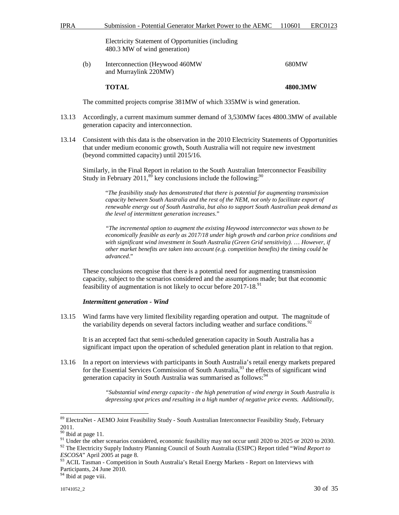| <b>IPRA</b> | Submission - Potential Generator Market Power to the AEMC 110601 ERC0123 |  |
|-------------|--------------------------------------------------------------------------|--|
|             |                                                                          |  |

Electricity Statement of Opportunities (including 480.3 MW of wind generation)

(b) Interconnection (Heywood 460MW 680MW and Murraylink 220MW)

**TOTAL 4800.3MW** 

The committed projects comprise 381MW of which 335MW is wind generation.

- 13.13 Accordingly, a current maximum summer demand of 3,530MW faces 4800.3MW of available generation capacity and interconnection.
- 13.14 Consistent with this data is the observation in the 2010 Electricity Statements of Opportunities that under medium economic growth, South Australia will not require new investment (beyond committed capacity) until 2015/16.

Similarly, in the Final Report in relation to the South Australian Interconnector Feasibility Study in February 2011,<sup>89</sup> key conclusions include the following:<sup>90</sup>

"*The feasibility study has demonstrated that there is potential for augmenting transmission capacity between South Australia and the rest of the NEM, not only to facilitate export of renewable energy out of South Australia, but also to support South Australian peak demand as the level of intermittent generation increases*."

*"The incremental option to augment the existing Heywood interconnector was shown to be economically feasible as early as 2017/18 under high growth and carbon price conditions and with significant wind investment in South Australia (Green Grid sensitivity).* … *However, if other market benefits are taken into account (e.g. competition benefits) the timing could be advanced*."

These conclusions recognise that there is a potential need for augmenting transmission capacity, subject to the scenarios considered and the assumptions made; but that economic feasibility of augmentation is not likely to occur before 2017-18.<sup>91</sup>

#### *Intermittent generation - Wind*

13.15 Wind farms have very limited flexibility regarding operation and output. The magnitude of the variability depends on several factors including weather and surface conditions.<sup>92</sup>

It is an accepted fact that semi-scheduled generation capacity in South Australia has a significant impact upon the operation of scheduled generation plant in relation to that region.

13.16 In a report on interviews with participants in South Australia's retail energy markets prepared for the Essential Services Commission of South Australia,<sup>93</sup> the effects of significant wind generation capacity in South Australia was summarised as follows:<sup>94</sup>

> *"Substantial wind energy capacity - the high penetration of wind energy in South Australia is depressing spot prices and resulting in a high number of negative price events. Additionally,*

 $\overline{a}$ 

<sup>92</sup> The Electricity Supply Industry Planning Council of South Australia (ESIPC) Report titled "*Wind Report to ESCOSA*" April 2005 at page 8.

<sup>93</sup> ACIL Tasman - Competition in South Australia's Retail Energy Markets - Report on Interviews with Participants, 24 June 2010.

<sup>94</sup> Ibid at page viii.

<sup>&</sup>lt;sup>89</sup> ElectraNet - AEMO Joint Feasibility Study - South Australian Interconnector Feasibility Study, February 2011.

<sup>&</sup>lt;sup>90</sup> Ibid at page 11.

<sup>&</sup>lt;sup>91</sup> Under the other scenarios considered, economic feasibility may not occur until 2020 to 2025 or 2020 to 2030.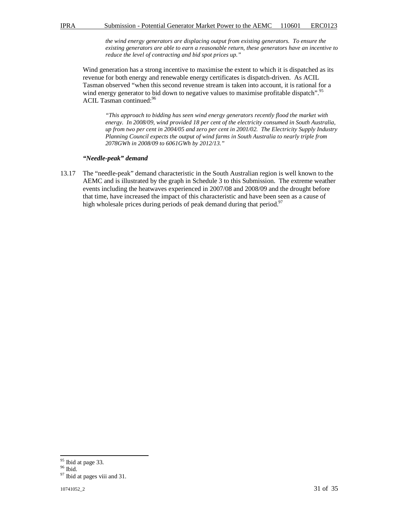*the wind energy generators are displacing output from existing generators. To ensure the existing generators are able to earn a reasonable return, these generators have an incentive to reduce the level of contracting and bid spot prices up."* 

Wind generation has a strong incentive to maximise the extent to which it is dispatched as its revenue for both energy and renewable energy certificates is dispatch-driven. As ACIL Tasman observed "when this second revenue stream is taken into account, it is rational for a wind energy generator to bid down to negative values to maximise profitable dispatch".<sup>95</sup> ACIL Tasman continued:<sup>96</sup>

*"This approach to bidding has seen wind energy generators recently flood the market with energy. In 2008/09, wind provided 18 per cent of the electricity consumed in South Australia, up from two per cent in 2004/05 and zero per cent in 2001/02. The Electricity Supply Industry Planning Council expects the output of wind farms in South Australia to nearly triple from 2078GWh in 2008/09 to 6061GWh by 2012/13."* 

#### *"Needle-peak" demand*

13.17 The "needle-peak" demand characteristic in the South Australian region is well known to the AEMC and is illustrated by the graph in Schedule 3 to this Submission. The extreme weather events including the heatwaves experienced in 2007/08 and 2008/09 and the drought before that time, have increased the impact of this characteristic and have been seen as a cause of high wholesale prices during periods of peak demand during that period.<sup>97</sup>

<sup>&</sup>lt;sup>95</sup> Ibid at page 33.

 $^{96}$  Ibid.

<sup>&</sup>lt;sup>97</sup> Ibid at pages viii and 31.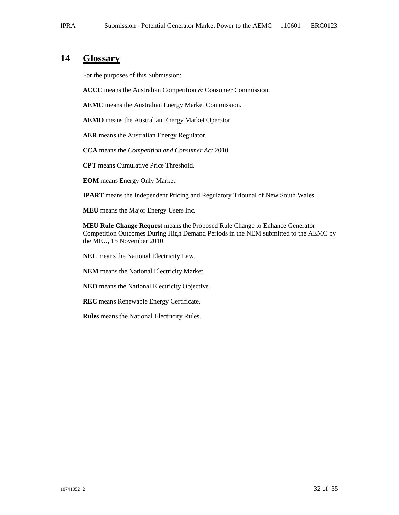### **14 Glossary**

For the purposes of this Submission:

**ACCC** means the Australian Competition & Consumer Commission.

**AEMC** means the Australian Energy Market Commission.

**AEMO** means the Australian Energy Market Operator.

**AER** means the Australian Energy Regulator.

**CCA** means the *Competition and Consumer Act* 2010.

**CPT** means Cumulative Price Threshold.

**EOM** means Energy Only Market.

**IPART** means the Independent Pricing and Regulatory Tribunal of New South Wales.

**MEU** means the Major Energy Users Inc.

**MEU Rule Change Request** means the Proposed Rule Change to Enhance Generator Competition Outcomes During High Demand Periods in the NEM submitted to the AEMC by the MEU, 15 November 2010.

**NEL** means the National Electricity Law.

**NEM** means the National Electricity Market.

**NEO** means the National Electricity Objective.

**REC** means Renewable Energy Certificate.

**Rules** means the National Electricity Rules.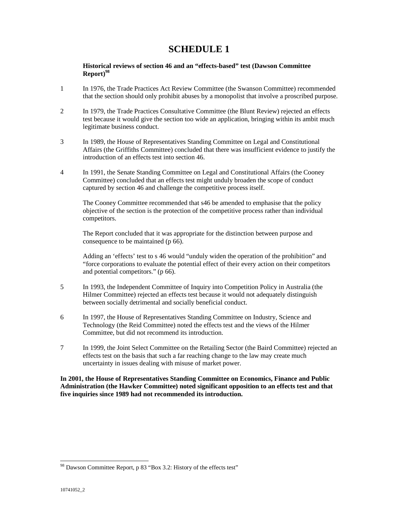# **SCHEDULE 1**

#### **Historical reviews of section 46 and an "effects-based" test (Dawson Committee Report)<sup>98</sup>**

- 1 In 1976, the Trade Practices Act Review Committee (the Swanson Committee) recommended that the section should only prohibit abuses by a monopolist that involve a proscribed purpose.
- 2 In 1979, the Trade Practices Consultative Committee (the Blunt Review) rejected an effects test because it would give the section too wide an application, bringing within its ambit much legitimate business conduct.
- 3 In 1989, the House of Representatives Standing Committee on Legal and Constitutional Affairs (the Griffiths Committee) concluded that there was insufficient evidence to justify the introduction of an effects test into section 46.
- 4 In 1991, the Senate Standing Committee on Legal and Constitutional Affairs (the Cooney Committee) concluded that an effects test might unduly broaden the scope of conduct captured by section 46 and challenge the competitive process itself.

The Cooney Committee recommended that s46 be amended to emphasise that the policy objective of the section is the protection of the competitive process rather than individual competitors.

The Report concluded that it was appropriate for the distinction between purpose and consequence to be maintained (p 66).

Adding an 'effects' test to s 46 would "unduly widen the operation of the prohibition" and "force corporations to evaluate the potential effect of their every action on their competitors and potential competitors." (p 66).

- 5 In 1993, the Independent Committee of Inquiry into Competition Policy in Australia (the Hilmer Committee) rejected an effects test because it would not adequately distinguish between socially detrimental and socially beneficial conduct.
- 6 In 1997, the House of Representatives Standing Committee on Industry, Science and Technology (the Reid Committee) noted the effects test and the views of the Hilmer Committee, but did not recommend its introduction.
- 7 In 1999, the Joint Select Committee on the Retailing Sector (the Baird Committee) rejected an effects test on the basis that such a far reaching change to the law may create much uncertainty in issues dealing with misuse of market power.

**In 2001, the House of Representatives Standing Committee on Economics, Finance and Public Administration (the Hawker Committee) noted significant opposition to an effects test and that five inquiries since 1989 had not recommended its introduction.** 

l

<sup>&</sup>lt;sup>98</sup> Dawson Committee Report, p 83 "Box 3.2: History of the effects test"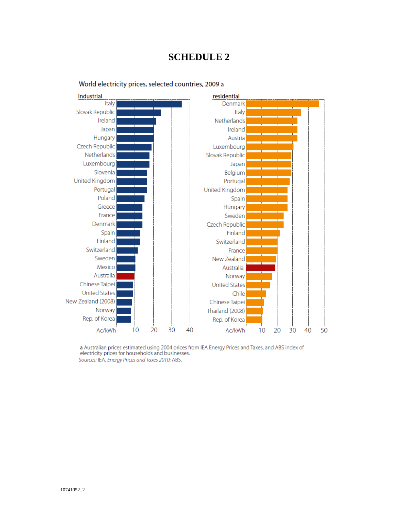# **SCHEDULE 2**



World electricity prices, selected countries, 2009 a

a Australian prices estimated using 2004 prices from IEA Energy Prices and Taxes, and ABS index of electricity prices for households and businesses. Sources: IEA, Energy Prices and Taxes 2010; ABS.